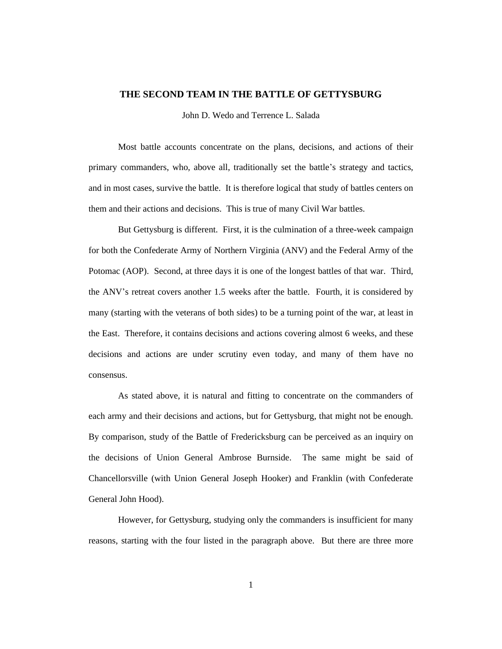# **THE SECOND TEAM IN THE BATTLE OF GETTYSBURG**

John D. Wedo and Terrence L. Salada

Most battle accounts concentrate on the plans, decisions, and actions of their primary commanders, who, above all, traditionally set the battle's strategy and tactics, and in most cases, survive the battle. It is therefore logical that study of battles centers on them and their actions and decisions. This is true of many Civil War battles.

But Gettysburg is different. First, it is the culmination of a three-week campaign for both the Confederate Army of Northern Virginia (ANV) and the Federal Army of the Potomac (AOP). Second, at three days it is one of the longest battles of that war. Third, the ANV's retreat covers another 1.5 weeks after the battle. Fourth, it is considered by many (starting with the veterans of both sides) to be a turning point of the war, at least in the East. Therefore, it contains decisions and actions covering almost 6 weeks, and these decisions and actions are under scrutiny even today, and many of them have no consensus.

As stated above, it is natural and fitting to concentrate on the commanders of each army and their decisions and actions, but for Gettysburg, that might not be enough. By comparison, study of the Battle of Fredericksburg can be perceived as an inquiry on the decisions of Union General Ambrose Burnside. The same might be said of Chancellorsville (with Union General Joseph Hooker) and Franklin (with Confederate General John Hood).

However, for Gettysburg, studying only the commanders is insufficient for many reasons, starting with the four listed in the paragraph above. But there are three more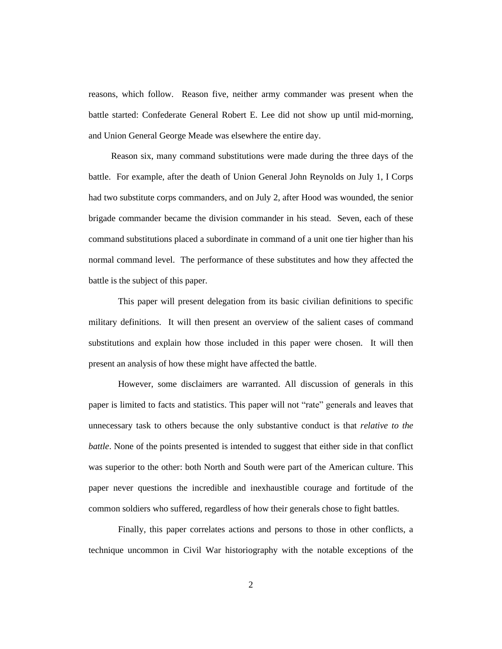reasons, which follow. Reason five, neither army commander was present when the battle started: Confederate General Robert E. Lee did not show up until mid-morning, and Union General George Meade was elsewhere the entire day.

 Reason six, many command substitutions were made during the three days of the battle. For example, after the death of Union General John Reynolds on July 1, I Corps had two substitute corps commanders, and on July 2, after Hood was wounded, the senior brigade commander became the division commander in his stead. Seven, each of these command substitutions placed a subordinate in command of a unit one tier higher than his normal command level. The performance of these substitutes and how they affected the battle is the subject of this paper.

This paper will present delegation from its basic civilian definitions to specific military definitions. It will then present an overview of the salient cases of command substitutions and explain how those included in this paper were chosen. It will then present an analysis of how these might have affected the battle.

However, some disclaimers are warranted. All discussion of generals in this paper is limited to facts and statistics. This paper will not "rate" generals and leaves that unnecessary task to others because the only substantive conduct is that *relative to the battle*. None of the points presented is intended to suggest that either side in that conflict was superior to the other: both North and South were part of the American culture. This paper never questions the incredible and inexhaustible courage and fortitude of the common soldiers who suffered, regardless of how their generals chose to fight battles.

Finally, this paper correlates actions and persons to those in other conflicts, a technique uncommon in Civil War historiography with the notable exceptions of the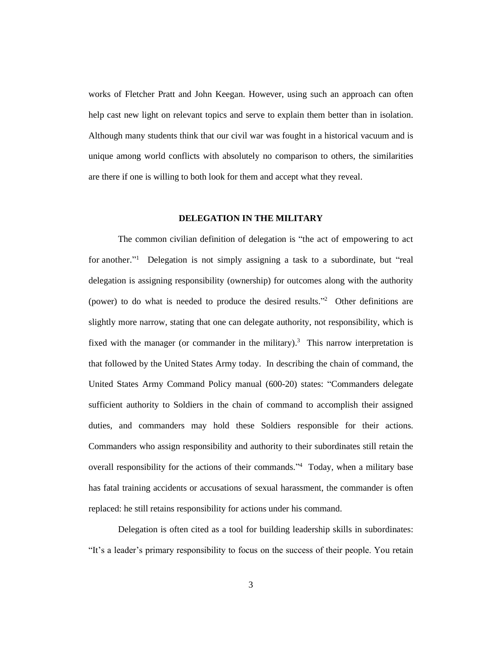works of Fletcher Pratt and John Keegan. However, using such an approach can often help cast new light on relevant topics and serve to explain them better than in isolation. Although many students think that our civil war was fought in a historical vacuum and is unique among world conflicts with absolutely no comparison to others, the similarities are there if one is willing to both look for them and accept what they reveal.

## **DELEGATION IN THE MILITARY**

The common civilian definition of delegation is "the act of empowering to act for another."<sup>1</sup> Delegation is not simply assigning a task to a subordinate, but "real delegation is assigning responsibility (ownership) for outcomes along with the authority (power) to do what is needed to produce the desired results." <sup>2</sup> Other definitions are slightly more narrow, stating that one can delegate authority, not responsibility, which is fixed with the manager (or commander in the military).<sup>3</sup> This narrow interpretation is that followed by the United States Army today. In describing the chain of command, the United States Army Command Policy manual (600-20) states: "Commanders delegate sufficient authority to Soldiers in the chain of command to accomplish their assigned duties, and commanders may hold these Soldiers responsible for their actions. Commanders who assign responsibility and authority to their subordinates still retain the overall responsibility for the actions of their commands." <sup>4</sup> Today, when a military base has fatal training accidents or accusations of sexual harassment, the commander is often replaced: he still retains responsibility for actions under his command.

Delegation is often cited as a tool for building leadership skills in subordinates: "It's a leader's primary responsibility to focus on the success of their people. You retain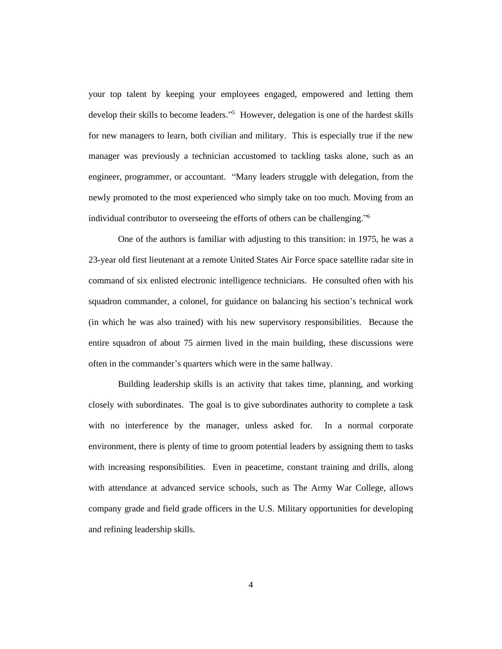your top talent by keeping your employees engaged, empowered and letting them develop their skills to become leaders." 5 However, delegation is one of the hardest skills for new managers to learn, both civilian and military. This is especially true if the new manager was previously a technician accustomed to tackling tasks alone, such as an engineer, programmer, or accountant. "Many leaders struggle with delegation, from the newly promoted to the most experienced who simply take on too much. Moving from an individual contributor to overseeing the efforts of others can be challenging." 6

One of the authors is familiar with adjusting to this transition: in 1975, he was a 23-year old first lieutenant at a remote United States Air Force space satellite radar site in command of six enlisted electronic intelligence technicians. He consulted often with his squadron commander, a colonel, for guidance on balancing his section's technical work (in which he was also trained) with his new supervisory responsibilities. Because the entire squadron of about 75 airmen lived in the main building, these discussions were often in the commander's quarters which were in the same hallway.

Building leadership skills is an activity that takes time, planning, and working closely with subordinates. The goal is to give subordinates authority to complete a task with no interference by the manager, unless asked for. In a normal corporate environment, there is plenty of time to groom potential leaders by assigning them to tasks with increasing responsibilities. Even in peacetime, constant training and drills, along with attendance at advanced service schools, such as The Army War College, allows company grade and field grade officers in the U.S. Military opportunities for developing and refining leadership skills.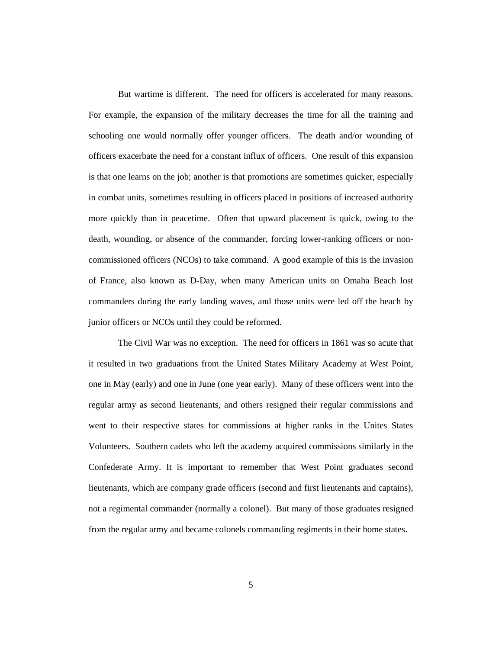But wartime is different. The need for officers is accelerated for many reasons. For example, the expansion of the military decreases the time for all the training and schooling one would normally offer younger officers. The death and/or wounding of officers exacerbate the need for a constant influx of officers. One result of this expansion is that one learns on the job; another is that promotions are sometimes quicker, especially in combat units, sometimes resulting in officers placed in positions of increased authority more quickly than in peacetime. Often that upward placement is quick, owing to the death, wounding, or absence of the commander, forcing lower-ranking officers or noncommissioned officers (NCOs) to take command. A good example of this is the invasion of France, also known as D-Day, when many American units on Omaha Beach lost commanders during the early landing waves, and those units were led off the beach by junior officers or NCOs until they could be reformed.

The Civil War was no exception. The need for officers in 1861 was so acute that it resulted in two graduations from the United States Military Academy at West Point, one in May (early) and one in June (one year early). Many of these officers went into the regular army as second lieutenants, and others resigned their regular commissions and went to their respective states for commissions at higher ranks in the Unites States Volunteers. Southern cadets who left the academy acquired commissions similarly in the Confederate Army. It is important to remember that West Point graduates second lieutenants, which are company grade officers (second and first lieutenants and captains), not a regimental commander (normally a colonel). But many of those graduates resigned from the regular army and became colonels commanding regiments in their home states.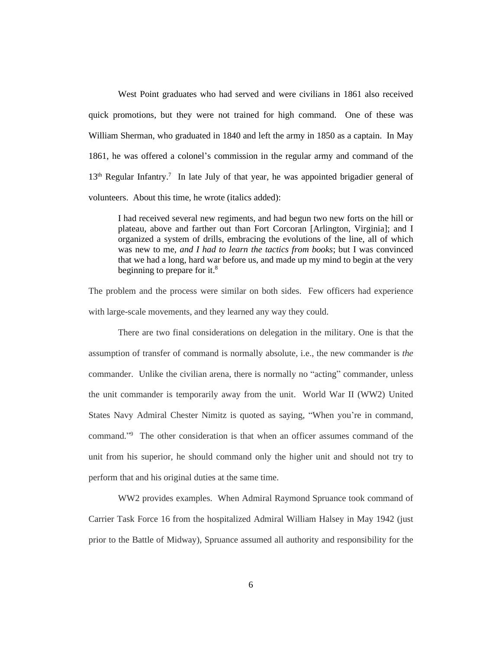West Point graduates who had served and were civilians in 1861 also received quick promotions, but they were not trained for high command. One of these was William Sherman, who graduated in 1840 and left the army in 1850 as a captain. In May 1861, he was offered a colonel's commission in the regular army and command of the 13<sup>th</sup> Regular Infantry.<sup>7</sup> In late July of that year, he was appointed brigadier general of volunteers. About this time, he wrote (italics added):

I had received several new regiments, and had begun two new forts on the hill or plateau, above and farther out than Fort Corcoran [Arlington, Virginia]; and I organized a system of drills, embracing the evolutions of the line, all of which was new to me, *and I had to learn the tactics from books*; but I was convinced that we had a long, hard war before us, and made up my mind to begin at the very beginning to prepare for it.<sup>8</sup>

The problem and the process were similar on both sides. Few officers had experience with large-scale movements, and they learned any way they could.

There are two final considerations on delegation in the military. One is that the assumption of transfer of command is normally absolute, i.e., the new commander is *the* commander. Unlike the civilian arena, there is normally no "acting" commander, unless the unit commander is temporarily away from the unit. World War II (WW2) United States Navy Admiral Chester Nimitz is quoted as saying, "When you're in command, command." <sup>9</sup> The other consideration is that when an officer assumes command of the unit from his superior, he should command only the higher unit and should not try to perform that and his original duties at the same time.

WW2 provides examples. When Admiral Raymond Spruance took command of Carrier Task Force 16 from the hospitalized Admiral William Halsey in May 1942 (just prior to the Battle of Midway), Spruance assumed all authority and responsibility for the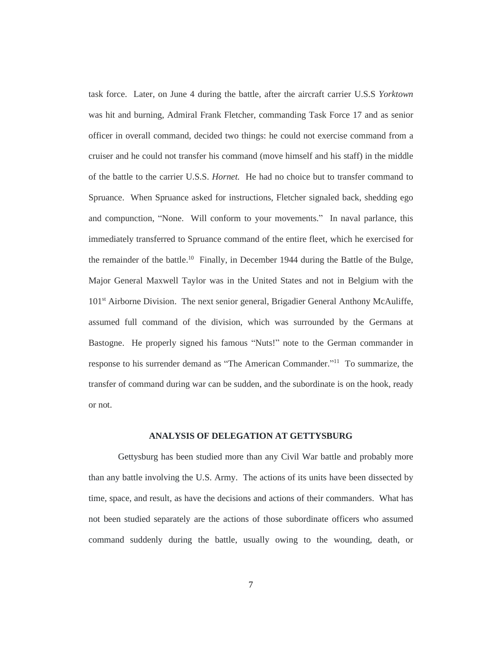task force. Later, on June 4 during the battle, after the aircraft carrier U.S.S *Yorktown* was hit and burning, Admiral Frank Fletcher, commanding Task Force 17 and as senior officer in overall command, decided two things: he could not exercise command from a cruiser and he could not transfer his command (move himself and his staff) in the middle of the battle to the carrier U.S.S. *Hornet.* He had no choice but to transfer command to Spruance. When Spruance asked for instructions, Fletcher signaled back, shedding ego and compunction, "None. Will conform to your movements." In naval parlance, this immediately transferred to Spruance command of the entire fleet, which he exercised for the remainder of the battle.<sup>10</sup> Finally, in December 1944 during the Battle of the Bulge, Major General Maxwell Taylor was in the United States and not in Belgium with the 101st Airborne Division. The next senior general, Brigadier General Anthony McAuliffe, assumed full command of the division, which was surrounded by the Germans at Bastogne. He properly signed his famous "Nuts!" note to the German commander in response to his surrender demand as "The American Commander."<sup>11</sup> To summarize, the transfer of command during war can be sudden, and the subordinate is on the hook, ready or not.

#### **ANALYSIS OF DELEGATION AT GETTYSBURG**

Gettysburg has been studied more than any Civil War battle and probably more than any battle involving the U.S. Army. The actions of its units have been dissected by time, space, and result, as have the decisions and actions of their commanders. What has not been studied separately are the actions of those subordinate officers who assumed command suddenly during the battle, usually owing to the wounding, death, or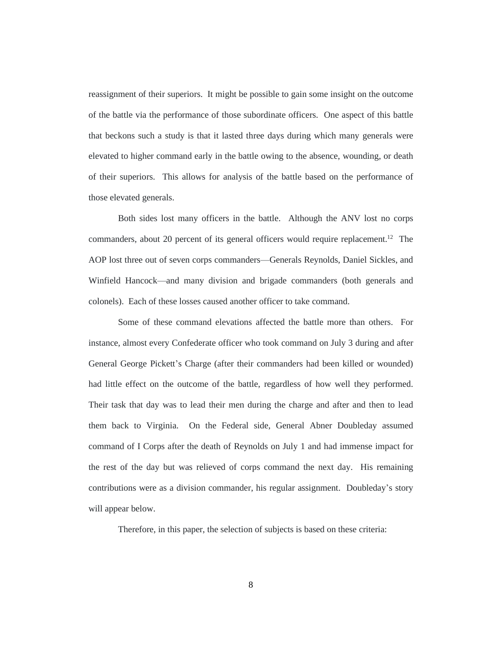reassignment of their superiors. It might be possible to gain some insight on the outcome of the battle via the performance of those subordinate officers. One aspect of this battle that beckons such a study is that it lasted three days during which many generals were elevated to higher command early in the battle owing to the absence, wounding, or death of their superiors. This allows for analysis of the battle based on the performance of those elevated generals.

Both sides lost many officers in the battle. Although the ANV lost no corps commanders, about 20 percent of its general officers would require replacement.<sup>12</sup> The AOP lost three out of seven corps commanders—Generals Reynolds, Daniel Sickles, and Winfield Hancock—and many division and brigade commanders (both generals and colonels). Each of these losses caused another officer to take command.

Some of these command elevations affected the battle more than others. For instance, almost every Confederate officer who took command on July 3 during and after General George Pickett's Charge (after their commanders had been killed or wounded) had little effect on the outcome of the battle, regardless of how well they performed. Their task that day was to lead their men during the charge and after and then to lead them back to Virginia. On the Federal side, General Abner Doubleday assumed command of I Corps after the death of Reynolds on July 1 and had immense impact for the rest of the day but was relieved of corps command the next day. His remaining contributions were as a division commander, his regular assignment. Doubleday's story will appear below.

Therefore, in this paper, the selection of subjects is based on these criteria: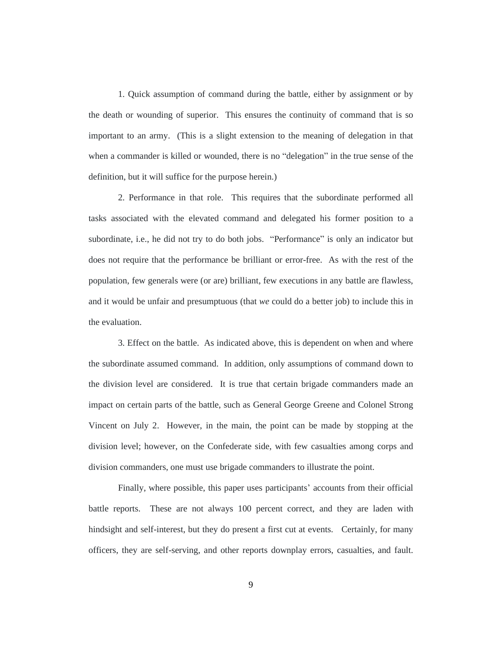1. Quick assumption of command during the battle, either by assignment or by the death or wounding of superior. This ensures the continuity of command that is so important to an army. (This is a slight extension to the meaning of delegation in that when a commander is killed or wounded, there is no "delegation" in the true sense of the definition, but it will suffice for the purpose herein.)

2. Performance in that role. This requires that the subordinate performed all tasks associated with the elevated command and delegated his former position to a subordinate, i.e., he did not try to do both jobs. "Performance" is only an indicator but does not require that the performance be brilliant or error-free. As with the rest of the population, few generals were (or are) brilliant, few executions in any battle are flawless, and it would be unfair and presumptuous (that *we* could do a better job) to include this in the evaluation.

3. Effect on the battle. As indicated above, this is dependent on when and where the subordinate assumed command. In addition, only assumptions of command down to the division level are considered. It is true that certain brigade commanders made an impact on certain parts of the battle, such as General George Greene and Colonel Strong Vincent on July 2. However, in the main, the point can be made by stopping at the division level; however, on the Confederate side, with few casualties among corps and division commanders, one must use brigade commanders to illustrate the point.

Finally, where possible, this paper uses participants' accounts from their official battle reports. These are not always 100 percent correct, and they are laden with hindsight and self-interest, but they do present a first cut at events. Certainly, for many officers, they are self-serving, and other reports downplay errors, casualties, and fault.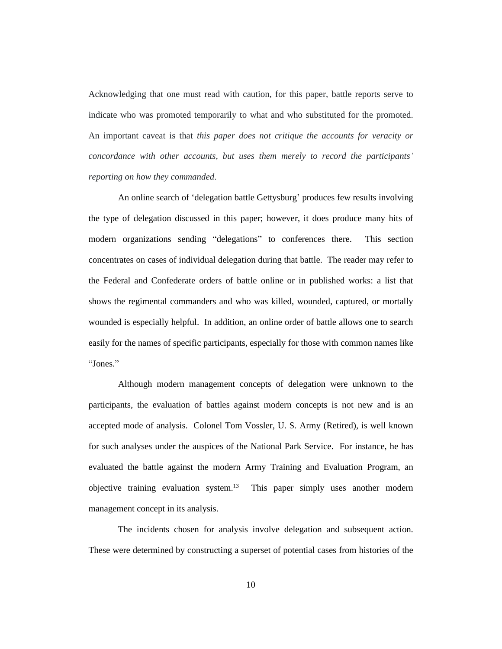Acknowledging that one must read with caution, for this paper, battle reports serve to indicate who was promoted temporarily to what and who substituted for the promoted. An important caveat is that *this paper does not critique the accounts for veracity or concordance with other accounts, but uses them merely to record the participants' reporting on how they commanded*.

An online search of 'delegation battle Gettysburg' produces few results involving the type of delegation discussed in this paper; however, it does produce many hits of modern organizations sending "delegations" to conferences there. This section concentrates on cases of individual delegation during that battle. The reader may refer to the Federal and Confederate orders of battle online or in published works: a list that shows the regimental commanders and who was killed, wounded, captured, or mortally wounded is especially helpful. In addition, an online order of battle allows one to search easily for the names of specific participants, especially for those with common names like "Jones"

Although modern management concepts of delegation were unknown to the participants, the evaluation of battles against modern concepts is not new and is an accepted mode of analysis. Colonel Tom Vossler, U. S. Army (Retired), is well known for such analyses under the auspices of the National Park Service. For instance, he has evaluated the battle against the modern Army Training and Evaluation Program, an objective training evaluation system.<sup>13</sup> This paper simply uses another modern management concept in its analysis.

The incidents chosen for analysis involve delegation and subsequent action. These were determined by constructing a superset of potential cases from histories of the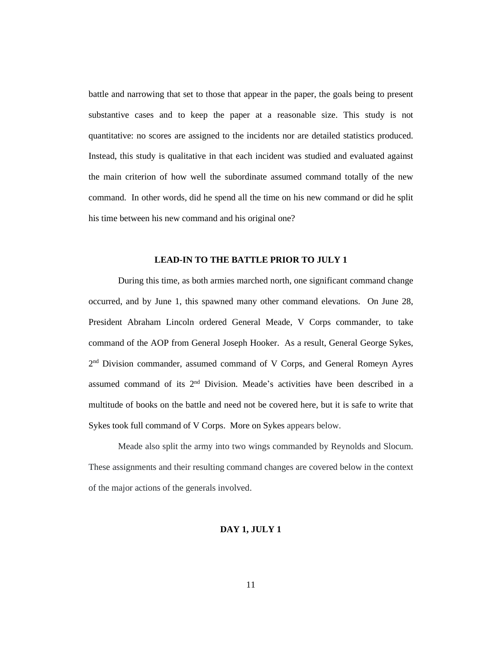battle and narrowing that set to those that appear in the paper, the goals being to present substantive cases and to keep the paper at a reasonable size. This study is not quantitative: no scores are assigned to the incidents nor are detailed statistics produced. Instead, this study is qualitative in that each incident was studied and evaluated against the main criterion of how well the subordinate assumed command totally of the new command. In other words, did he spend all the time on his new command or did he split his time between his new command and his original one?

### **LEAD-IN TO THE BATTLE PRIOR TO JULY 1**

During this time, as both armies marched north, one significant command change occurred, and by June 1, this spawned many other command elevations. On June 28, President Abraham Lincoln ordered General Meade, V Corps commander, to take command of the AOP from General Joseph Hooker. As a result, General George Sykes, 2<sup>nd</sup> Division commander, assumed command of V Corps, and General Romeyn Ayres assumed command of its 2<sup>nd</sup> Division. Meade's activities have been described in a multitude of books on the battle and need not be covered here, but it is safe to write that Sykes took full command of V Corps. More on Sykes appears below.

Meade also split the army into two wings commanded by Reynolds and Slocum. These assignments and their resulting command changes are covered below in the context of the major actions of the generals involved.

## **DAY 1, JULY 1**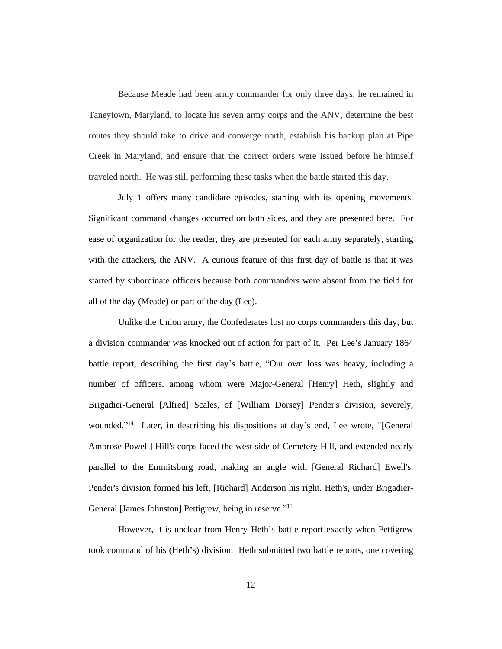Because Meade had been army commander for only three days, he remained in Taneytown, Maryland, to locate his seven army corps and the ANV, determine the best routes they should take to drive and converge north, establish his backup plan at Pipe Creek in Maryland, and ensure that the correct orders were issued before he himself traveled north. He was still performing these tasks when the battle started this day.

July 1 offers many candidate episodes, starting with its opening movements. Significant command changes occurred on both sides, and they are presented here. For ease of organization for the reader, they are presented for each army separately, starting with the attackers, the ANV. A curious feature of this first day of battle is that it was started by subordinate officers because both commanders were absent from the field for all of the day (Meade) or part of the day (Lee).

Unlike the Union army, the Confederates lost no corps commanders this day, but a division commander was knocked out of action for part of it. Per Lee's January 1864 battle report, describing the first day's battle, "Our own loss was heavy, including a number of officers, among whom were Major-General [Henry] Heth, slightly and Brigadier-General [Alfred] Scales, of [William Dorsey] Pender's division, severely, wounded." 14 Later, in describing his dispositions at day's end, Lee wrote, "[General Ambrose Powell] Hill's corps faced the west side of Cemetery Hill, and extended nearly parallel to the Emmitsburg road, making an angle with [General Richard] Ewell's. Pender's division formed his left, [Richard] Anderson his right. Heth's, under Brigadier-General [James Johnston] Pettigrew, being in reserve."<sup>15</sup>

However, it is unclear from Henry Heth's battle report exactly when Pettigrew took command of his (Heth's) division. Heth submitted two battle reports, one covering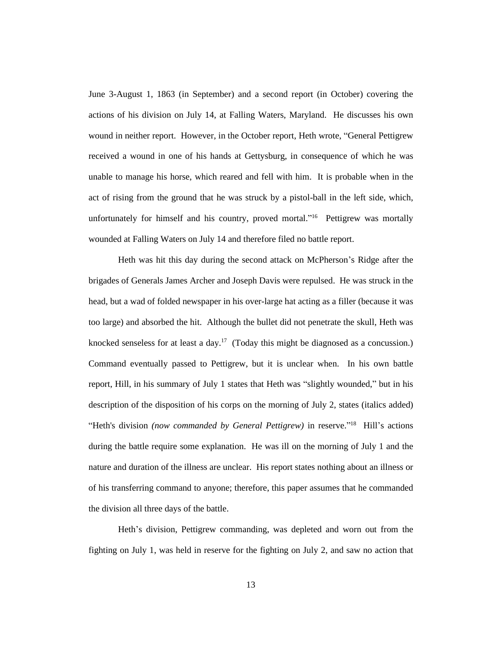June 3-August 1, 1863 (in September) and a second report (in October) covering the actions of his division on July 14, at Falling Waters, Maryland. He discusses his own wound in neither report. However, in the October report, Heth wrote, "General Pettigrew received a wound in one of his hands at Gettysburg, in consequence of which he was unable to manage his horse, which reared and fell with him. It is probable when in the act of rising from the ground that he was struck by a pistol-ball in the left side, which, unfortunately for himself and his country, proved mortal."<sup>16</sup> Pettigrew was mortally wounded at Falling Waters on July 14 and therefore filed no battle report.

Heth was hit this day during the second attack on McPherson's Ridge after the brigades of Generals James Archer and Joseph Davis were repulsed. He was struck in the head, but a wad of folded newspaper in his over-large hat acting as a filler (because it was too large) and absorbed the hit. Although the bullet did not penetrate the skull, Heth was knocked senseless for at least a day.<sup>17</sup> (Today this might be diagnosed as a concussion.) Command eventually passed to Pettigrew, but it is unclear when. In his own battle report, Hill, in his summary of July 1 states that Heth was "slightly wounded," but in his description of the disposition of his corps on the morning of July 2, states (italics added) "Heth's division (now commanded by General Pettigrew) in reserve."<sup>18</sup> Hill's actions during the battle require some explanation. He was ill on the morning of July 1 and the nature and duration of the illness are unclear. His report states nothing about an illness or of his transferring command to anyone; therefore, this paper assumes that he commanded the division all three days of the battle.

Heth's division, Pettigrew commanding, was depleted and worn out from the fighting on July 1, was held in reserve for the fighting on July 2, and saw no action that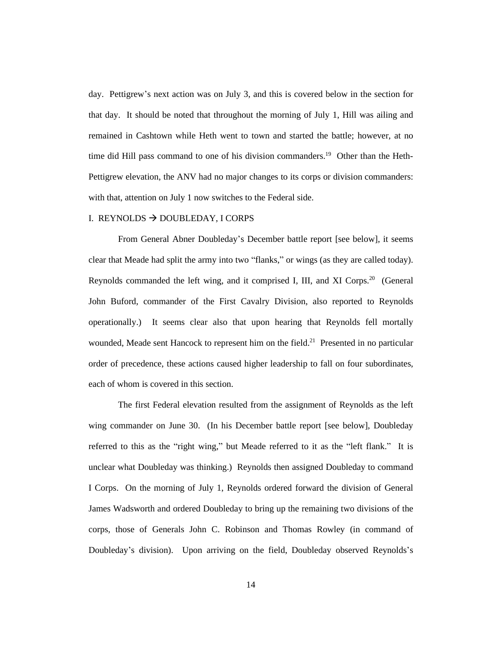day. Pettigrew's next action was on July 3, and this is covered below in the section for that day. It should be noted that throughout the morning of July 1, Hill was ailing and remained in Cashtown while Heth went to town and started the battle; however, at no time did Hill pass command to one of his division commanders.<sup>19</sup> Other than the Heth-Pettigrew elevation, the ANV had no major changes to its corps or division commanders: with that, attention on July 1 now switches to the Federal side.

## I. REYNOLDS  $\rightarrow$  DOUBLEDAY, I CORPS

From General Abner Doubleday's December battle report [see below], it seems clear that Meade had split the army into two "flanks," or wings (as they are called today). Reynolds commanded the left wing, and it comprised I, III, and XI Corps.<sup>20</sup> (General John Buford, commander of the First Cavalry Division, also reported to Reynolds operationally.) It seems clear also that upon hearing that Reynolds fell mortally wounded, Meade sent Hancock to represent him on the field.<sup>21</sup> Presented in no particular order of precedence, these actions caused higher leadership to fall on four subordinates, each of whom is covered in this section.

The first Federal elevation resulted from the assignment of Reynolds as the left wing commander on June 30. (In his December battle report [see below], Doubleday referred to this as the "right wing," but Meade referred to it as the "left flank." It is unclear what Doubleday was thinking.) Reynolds then assigned Doubleday to command I Corps. On the morning of July 1, Reynolds ordered forward the division of General James Wadsworth and ordered Doubleday to bring up the remaining two divisions of the corps, those of Generals John C. Robinson and Thomas Rowley (in command of Doubleday's division). Upon arriving on the field, Doubleday observed Reynolds's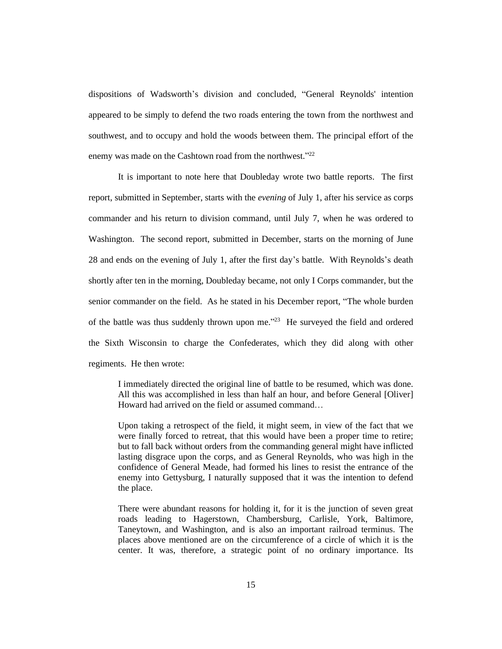dispositions of Wadsworth's division and concluded, "General Reynolds' intention appeared to be simply to defend the two roads entering the town from the northwest and southwest, and to occupy and hold the woods between them. The principal effort of the enemy was made on the Cashtown road from the northwest."<sup>22</sup>

It is important to note here that Doubleday wrote two battle reports. The first report, submitted in September, starts with the *evening* of July 1, after his service as corps commander and his return to division command, until July 7, when he was ordered to Washington. The second report, submitted in December, starts on the morning of June 28 and ends on the evening of July 1, after the first day's battle. With Reynolds's death shortly after ten in the morning, Doubleday became, not only I Corps commander, but the senior commander on the field. As he stated in his December report, "The whole burden of the battle was thus suddenly thrown upon me."<sup>23</sup> He surveyed the field and ordered the Sixth Wisconsin to charge the Confederates, which they did along with other regiments. He then wrote:

I immediately directed the original line of battle to be resumed, which was done. All this was accomplished in less than half an hour, and before General [Oliver] Howard had arrived on the field or assumed command…

Upon taking a retrospect of the field, it might seem, in view of the fact that we were finally forced to retreat, that this would have been a proper time to retire; but to fall back without orders from the commanding general might have inflicted lasting disgrace upon the corps, and as General Reynolds, who was high in the confidence of General Meade, had formed his lines to resist the entrance of the enemy into Gettysburg, I naturally supposed that it was the intention to defend the place.

There were abundant reasons for holding it, for it is the junction of seven great roads leading to Hagerstown, Chambersburg, Carlisle, York, Baltimore, Taneytown, and Washington, and is also an important railroad terminus. The places above mentioned are on the circumference of a circle of which it is the center. It was, therefore, a strategic point of no ordinary importance. Its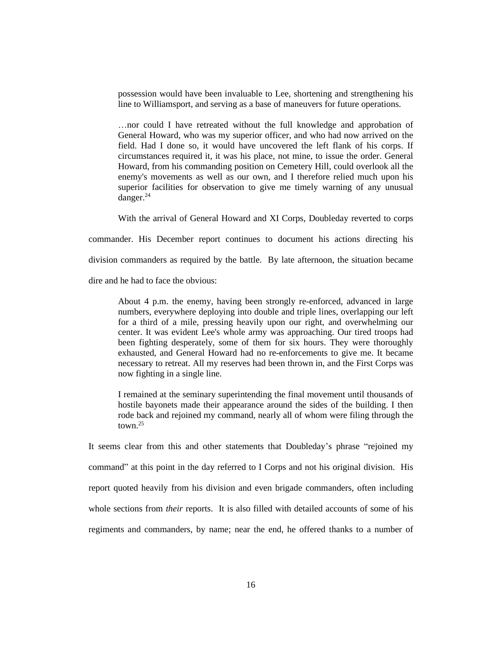possession would have been invaluable to Lee, shortening and strengthening his line to Williamsport, and serving as a base of maneuvers for future operations.

…nor could I have retreated without the full knowledge and approbation of General Howard, who was my superior officer, and who had now arrived on the field. Had I done so, it would have uncovered the left flank of his corps. If circumstances required it, it was his place, not mine, to issue the order. General Howard, from his commanding position on Cemetery Hill, could overlook all the enemy's movements as well as our own, and I therefore relied much upon his superior facilities for observation to give me timely warning of any unusual danger. $^{24}$ 

With the arrival of General Howard and XI Corps, Doubleday reverted to corps

commander. His December report continues to document his actions directing his

division commanders as required by the battle. By late afternoon, the situation became

dire and he had to face the obvious:

About 4 p.m. the enemy, having been strongly re-enforced, advanced in large numbers, everywhere deploying into double and triple lines, overlapping our left for a third of a mile, pressing heavily upon our right, and overwhelming our center. It was evident Lee's whole army was approaching. Our tired troops had been fighting desperately, some of them for six hours. They were thoroughly exhausted, and General Howard had no re-enforcements to give me. It became necessary to retreat. All my reserves had been thrown in, and the First Corps was now fighting in a single line.

I remained at the seminary superintending the final movement until thousands of hostile bayonets made their appearance around the sides of the building. I then rode back and rejoined my command, nearly all of whom were filing through the town $25$ 

It seems clear from this and other statements that Doubleday's phrase "rejoined my command" at this point in the day referred to I Corps and not his original division. His report quoted heavily from his division and even brigade commanders, often including whole sections from *their* reports. It is also filled with detailed accounts of some of his regiments and commanders, by name; near the end, he offered thanks to a number of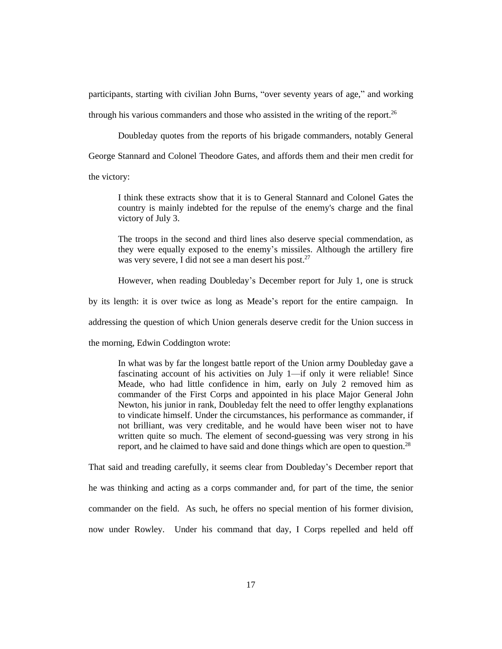participants, starting with civilian John Burns, "over seventy years of age," and working through his various commanders and those who assisted in the writing of the report.<sup>26</sup>

Doubleday quotes from the reports of his brigade commanders, notably General

George Stannard and Colonel Theodore Gates, and affords them and their men credit for

the victory:

I think these extracts show that it is to General Stannard and Colonel Gates the country is mainly indebted for the repulse of the enemy's charge and the final victory of July 3.

The troops in the second and third lines also deserve special commendation, as they were equally exposed to the enemy's missiles. Although the artillery fire was very severe, I did not see a man desert his post.<sup>27</sup>

However, when reading Doubleday's December report for July 1, one is struck

by its length: it is over twice as long as Meade's report for the entire campaign. In

addressing the question of which Union generals deserve credit for the Union success in

the morning, Edwin Coddington wrote:

In what was by far the longest battle report of the Union army Doubleday gave a fascinating account of his activities on July 1—if only it were reliable! Since Meade, who had little confidence in him, early on July 2 removed him as commander of the First Corps and appointed in his place Major General John Newton, his junior in rank, Doubleday felt the need to offer lengthy explanations to vindicate himself. Under the circumstances, his performance as commander, if not brilliant, was very creditable, and he would have been wiser not to have written quite so much. The element of second-guessing was very strong in his report, and he claimed to have said and done things which are open to question.<sup>28</sup>

That said and treading carefully, it seems clear from Doubleday's December report that he was thinking and acting as a corps commander and, for part of the time, the senior commander on the field. As such, he offers no special mention of his former division,

now under Rowley. Under his command that day, I Corps repelled and held off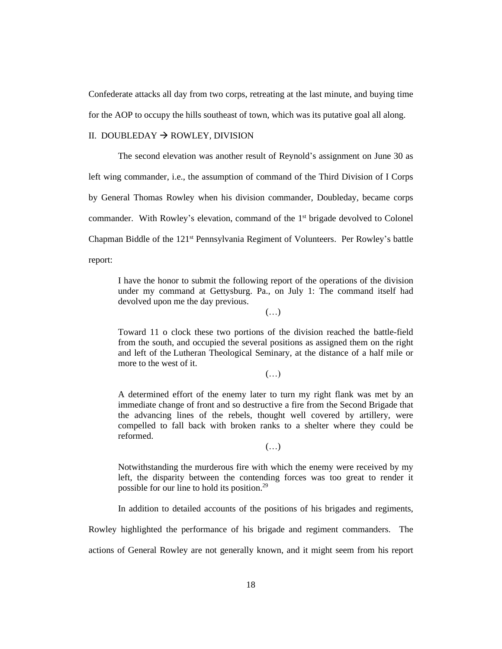Confederate attacks all day from two corps, retreating at the last minute, and buying time

for the AOP to occupy the hills southeast of town, which was its putative goal all along.

# II. DOUBLEDAY  $\rightarrow$  ROWLEY, DIVISION

The second elevation was another result of Reynold's assignment on June 30 as

left wing commander, i.e., the assumption of command of the Third Division of I Corps

by General Thomas Rowley when his division commander, Doubleday, became corps

commander. With Rowley's elevation, command of the  $1<sup>st</sup>$  brigade devolved to Colonel

Chapman Biddle of the 121<sup>st</sup> Pennsylvania Regiment of Volunteers. Per Rowley's battle

report:

I have the honor to submit the following report of the operations of the division under my command at Gettysburg. Pa., on July 1: The command itself had devolved upon me the day previous.

# (…)

Toward 11 o clock these two portions of the division reached the battle-field from the south, and occupied the several positions as assigned them on the right and left of the [Lutheran Theological Seminary,](http://gettysburg.stonesentinels.com/battlefield-farms/lutheran-theological-seminary/) at the distance of a half mile or more to the west of it.

(…)

A determined effort of the enemy later to turn my right flank was met by an immediate change of front and so destructive a fire from the Second Brigade that the advancing lines of the rebels, thought well covered by artillery, were compelled to fall back with broken ranks to a shelter where they could be reformed.

# $(\ldots)$

Notwithstanding the murderous fire with which the enemy were received by my left, the disparity between the contending forces was too great to render it possible for our line to hold its position. 29

In addition to detailed accounts of the positions of his brigades and regiments,

Rowley highlighted the performance of his brigade and regiment commanders. The

actions of General Rowley are not generally known, and it might seem from his report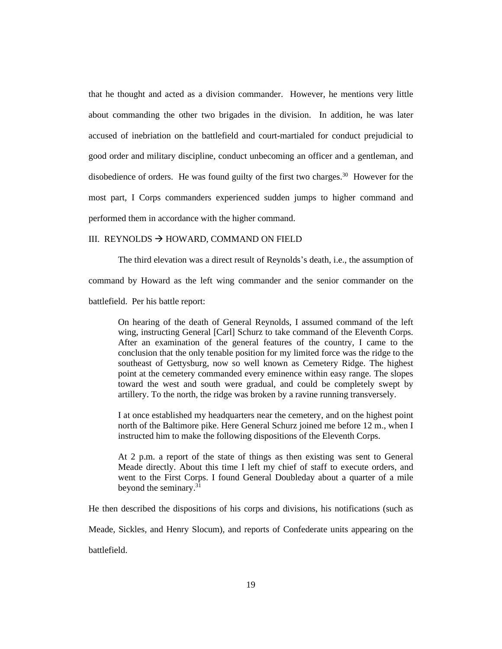that he thought and acted as a division commander. However, he mentions very little about commanding the other two brigades in the division. In addition, he was later accused of inebriation on the battlefield and court-martialed for conduct prejudicial to good order and military discipline, conduct unbecoming an officer and a gentleman, and disobedience of orders. He was found guilty of the first two charges.<sup>30</sup> However for the most part, I Corps commanders experienced sudden jumps to higher command and performed them in accordance with the higher command.

# III. REYNOLDS  $\rightarrow$  HOWARD, COMMAND ON FIELD

The third elevation was a direct result of Reynolds's death, i.e., the assumption of

command by Howard as the left wing commander and the senior commander on the

battlefield. Per his battle report:

On hearing of the death of General Reynolds, I assumed command of the left wing, instructing General [Carl] Schurz to take command of the Eleventh Corps. After an examination of the general features of the country, I came to the conclusion that the only tenable position for my limited force was the ridge to the southeast of Gettysburg, now so well known as Cemetery Ridge. The highest point at the cemetery commanded every eminence within easy range. The slopes toward the west and south were gradual, and could be completely swept by artillery. To the north, the ridge was broken by a ravine running transversely.

I at once established my headquarters near the cemetery, and on the highest point north of the Baltimore pike. Here General Schurz joined me before 12 m., when I instructed him to make the following dispositions of the Eleventh Corps.

At 2 p.m. a report of the state of things as then existing was sent to General Meade directly. About this time I left my chief of staff to execute orders, and went to the First Corps. I found General Doubleday about a quarter of a mile beyond the seminary. 31

He then described the dispositions of his corps and divisions, his notifications (such as

Meade, Sickles, and Henry Slocum), and reports of Confederate units appearing on the

battlefield.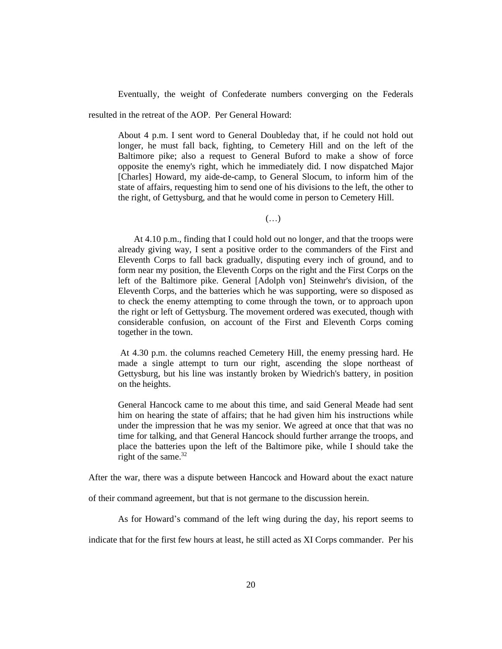Eventually, the weight of Confederate numbers converging on the Federals

resulted in the retreat of the AOP. Per General Howard:

About 4 p.m. I sent word to General Doubleday that, if he could not hold out longer, he must fall back, fighting, to Cemetery Hill and on the left of the Baltimore pike; also a request to General Buford to make a show of force opposite the enemy's right, which he immediately did. I now dispatched Major [Charles] Howard, my aide-de-camp, to General Slocum, to inform him of the state of affairs, requesting him to send one of his divisions to the left, the other to the right, of Gettysburg, and that he would come in person to Cemetery Hill.

 $(\ldots)$ 

 At 4.10 p.m., finding that I could hold out no longer, and that the troops were already giving way, I sent a positive order to the commanders of the First and Eleventh Corps to fall back gradually, disputing every inch of ground, and to form near my position, the Eleventh Corps on the right and the First Corps on the left of the Baltimore pike. General [Adolph von] Steinwehr's division, of the Eleventh Corps, and the batteries which he was supporting, were so disposed as to check the enemy attempting to come through the town, or to approach upon the right or left of Gettysburg. The movement ordered was executed, though with considerable confusion, on account of the First and Eleventh Corps coming together in the town.

At 4.30 p.m. the columns reached Cemetery Hill, the enemy pressing hard. He made a single attempt to turn our right, ascending the slope northeast of Gettysburg, but his line was instantly broken by Wiedrich's battery, in position on the heights.

General Hancock came to me about this time, and said General Meade had sent him on hearing the state of affairs; that he had given him his instructions while under the impression that he was my senior. We agreed at once that that was no time for talking, and that General Hancock should further arrange the troops, and place the batteries upon the left of the Baltimore pike, while I should take the right of the same. $32$ 

After the war, there was a dispute between Hancock and Howard about the exact nature

of their command agreement, but that is not germane to the discussion herein.

As for Howard's command of the left wing during the day, his report seems to

indicate that for the first few hours at least, he still acted as XI Corps commander. Per his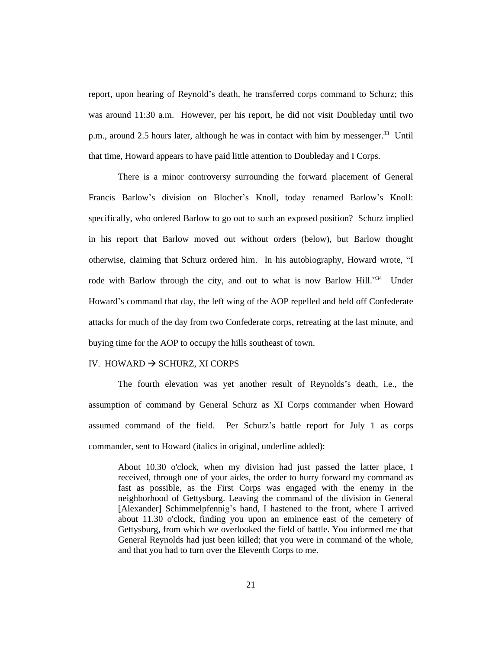report, upon hearing of Reynold's death, he transferred corps command to Schurz; this was around 11:30 a.m. However, per his report, he did not visit Doubleday until two p.m., around 2.5 hours later, although he was in contact with him by messenger.<sup>33</sup> Until that time, Howard appears to have paid little attention to Doubleday and I Corps.

There is a minor controversy surrounding the forward placement of General Francis Barlow's division on Blocher's Knoll, today renamed Barlow's Knoll: specifically, who ordered Barlow to go out to such an exposed position? Schurz implied in his report that Barlow moved out without orders (below), but Barlow thought otherwise, claiming that Schurz ordered him. In his autobiography, Howard wrote, "I rode with Barlow through the city, and out to what is now Barlow Hill."<sup>34</sup> Under Howard's command that day, the left wing of the AOP repelled and held off Confederate attacks for much of the day from two Confederate corps, retreating at the last minute, and buying time for the AOP to occupy the hills southeast of town.

# IV. HOWARD  $\rightarrow$  SCHURZ, XI CORPS

The fourth elevation was yet another result of Reynolds's death, i.e., the assumption of command by General Schurz as XI Corps commander when Howard assumed command of the field. Per Schurz's battle report for July 1 as corps commander, sent to Howard (italics in original, underline added):

About 10.30 o'clock, when my division had just passed the latter place, I received, through one of your aides, the order to hurry forward my command as fast as possible, as the First Corps was engaged with the enemy in the neighborhood of Gettysburg. Leaving the command of the division in General [Alexander] Schimmelpfennig's hand, I hastened to the front, where I arrived about 11.30 o'clock, finding you upon an eminence east of the cemetery of Gettysburg, from which we overlooked the field of battle. You informed me that General Reynolds had just been killed; that you were in command of the whole, and that you had to turn over the Eleventh Corps to me.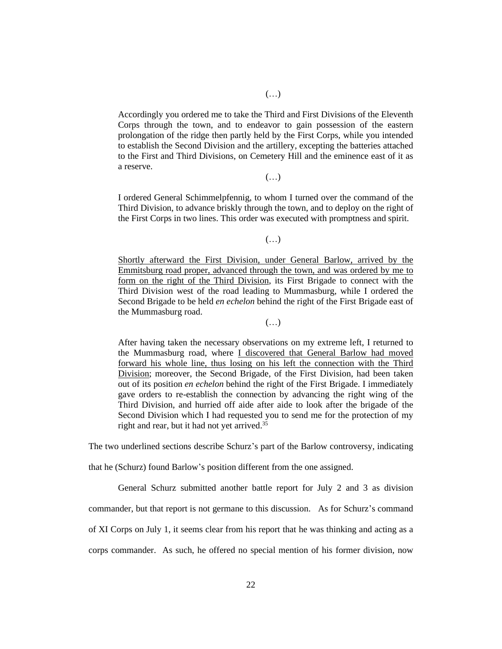Accordingly you ordered me to take the Third and First Divisions of the Eleventh Corps through the town, and to endeavor to gain possession of the eastern prolongation of the ridge then partly held by the First Corps, while you intended to establish the Second Division and the artillery, excepting the batteries attached to the First and Third Divisions, on Cemetery Hill and the eminence east of it as a reserve.

# (…)

I ordered General Schimmelpfennig, to whom I turned over the command of the Third Division, to advance briskly through the town, and to deploy on the right of the First Corps in two lines. This order was executed with promptness and spirit.

(…)

Shortly afterward the First Division, under General Barlow, arrived by the Emmitsburg road proper, advanced through the town, and was ordered by me to form on the right of the Third Division, its First Brigade to connect with the Third Division west of the road leading to Mummasburg, while I ordered the Second Brigade to be held *en echelon* behind the right of the First Brigade east of the Mummasburg road.

# (…)

After having taken the necessary observations on my extreme left, I returned to the Mummasburg road, where I discovered that General Barlow had moved forward his whole line, thus losing on his left the connection with the Third Division; moreover, the Second Brigade, of the First Division, had been taken out of its position *en echelon* behind the right of the First Brigade. I immediately gave orders to re-establish the connection by advancing the right wing of the Third Division, and hurried off aide after aide to look after the brigade of the Second Division which I had requested you to send me for the protection of my right and rear, but it had not yet arrived.<sup>35</sup>

The two underlined sections describe Schurz's part of the Barlow controversy, indicating

that he (Schurz) found Barlow's position different from the one assigned.

General Schurz submitted another battle report for July 2 and 3 as division commander, but that report is not germane to this discussion. As for Schurz's command of XI Corps on July 1, it seems clear from his report that he was thinking and acting as a corps commander. As such, he offered no special mention of his former division, now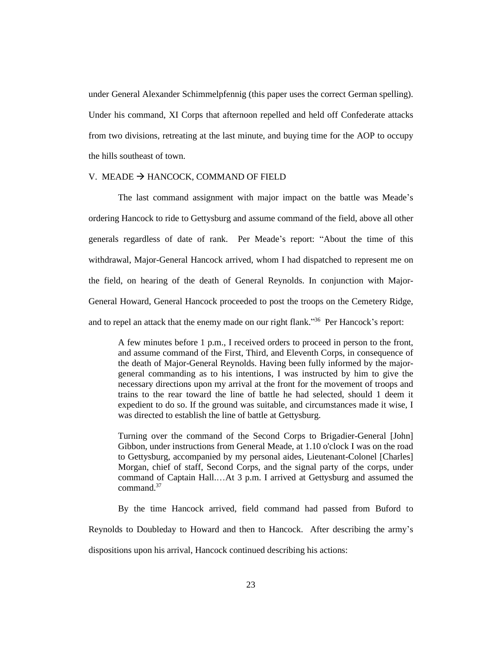under General Alexander Schimmelpfennig (this paper uses the correct German spelling). Under his command, XI Corps that afternoon repelled and held off Confederate attacks from two divisions, retreating at the last minute, and buying time for the AOP to occupy the hills southeast of town.

### V. MEADE  $\rightarrow$  HANCOCK, COMMAND OF FIELD

The last command assignment with major impact on the battle was Meade's ordering Hancock to ride to Gettysburg and assume command of the field, above all other generals regardless of date of rank. Per Meade's report: "About the time of this withdrawal, Major-General Hancock arrived, whom I had dispatched to represent me on the field, on hearing of the death of General Reynolds. In conjunction with Major-General Howard, General Hancock proceeded to post the troops on the Cemetery Ridge, and to repel an attack that the enemy made on our right flank." 36 Per Hancock's report:

A few minutes before 1 p.m., I received orders to proceed in person to the front, and assume command of the First, Third, and Eleventh Corps, in consequence of the death of Major-General Reynolds. Having been fully informed by the majorgeneral commanding as to his intentions, I was instructed by him to give the necessary directions upon my arrival at the front for the movement of troops and trains to the rear toward the line of battle he had selected, should 1 deem it expedient to do so. If the ground was suitable, and circumstances made it wise, I was directed to establish the line of battle at Gettysburg.

Turning over the command of the Second Corps to Brigadier-General [John] Gibbon, under instructions from General Meade, at 1.10 o'clock I was on the road to Gettysburg, accompanied by my personal aides, Lieutenant-Colonel [Charles] Morgan, chief of staff, Second Corps, and the signal party of the corps, under command of Captain Hall.…At 3 p.m. I arrived at Gettysburg and assumed the command. 37

By the time Hancock arrived, field command had passed from Buford to

Reynolds to Doubleday to Howard and then to Hancock. After describing the army's

dispositions upon his arrival, Hancock continued describing his actions: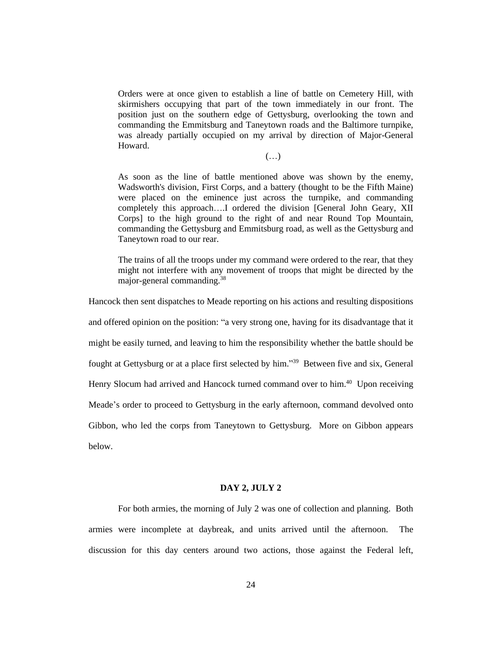Orders were at once given to establish a line of battle on Cemetery Hill, with skirmishers occupying that part of the town immediately in our front. The position just on the southern edge of Gettysburg, overlooking the town and commanding the Emmitsburg and Taneytown roads and the Baltimore turnpike, was already partially occupied on my arrival by direction of Major-General Howard.

(…)

As soon as the line of battle mentioned above was shown by the enemy, Wadsworth's division, First Corps, and a battery (thought to be the Fifth Maine) were placed on the eminence just across the turnpike, and commanding completely this approach….I ordered the division [General John Geary, XII Corps] to the high ground to the right of and near Round Top Mountain, commanding the Gettysburg and Emmitsburg road, as well as the Gettysburg and Taneytown road to our rear.

The trains of all the troops under my command were ordered to the rear, that they might not interfere with any movement of troops that might be directed by the major-general commanding.<sup>38</sup>

Hancock then sent dispatches to Meade reporting on his actions and resulting dispositions and offered opinion on the position: "a very strong one, having for its disadvantage that it might be easily turned, and leaving to him the responsibility whether the battle should be fought at Gettysburg or at a place first selected by him."<sup>39</sup> Between five and six, General Henry Slocum had arrived and Hancock turned command over to him.<sup>40</sup> Upon receiving Meade's order to proceed to Gettysburg in the early afternoon, command devolved onto Gibbon, who led the corps from Taneytown to Gettysburg. More on Gibbon appears below.

#### **DAY 2, JULY 2**

For both armies, the morning of July 2 was one of collection and planning. Both armies were incomplete at daybreak, and units arrived until the afternoon. The discussion for this day centers around two actions, those against the Federal left,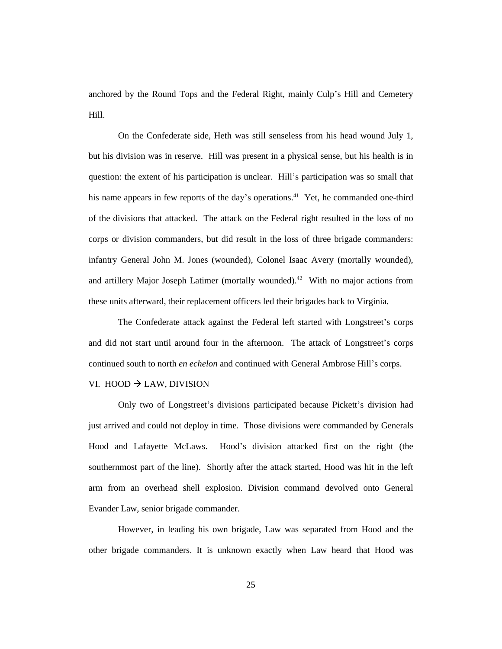anchored by the Round Tops and the Federal Right, mainly Culp's Hill and Cemetery Hill.

On the Confederate side, Heth was still senseless from his head wound July 1, but his division was in reserve. Hill was present in a physical sense, but his health is in question: the extent of his participation is unclear. Hill's participation was so small that his name appears in few reports of the day's operations.<sup>41</sup> Yet, he commanded one-third of the divisions that attacked. The attack on the Federal right resulted in the loss of no corps or division commanders, but did result in the loss of three brigade commanders: infantry General John M. Jones (wounded), Colonel Isaac Avery (mortally wounded), and artillery Major Joseph Latimer (mortally wounded).<sup>42</sup> With no major actions from these units afterward, their replacement officers led their brigades back to Virginia.

The Confederate attack against the Federal left started with Longstreet's corps and did not start until around four in the afternoon. The attack of Longstreet's corps continued south to north *en echelon* and continued with General Ambrose Hill's corps.

### VI. HOOD  $\rightarrow$  LAW, DIVISION

Only two of Longstreet's divisions participated because Pickett's division had just arrived and could not deploy in time. Those divisions were commanded by Generals Hood and Lafayette McLaws. Hood's division attacked first on the right (the southernmost part of the line). Shortly after the attack started, Hood was hit in the left arm from an overhead shell explosion. Division command devolved onto General Evander Law, senior brigade commander.

However, in leading his own brigade, Law was separated from Hood and the other brigade commanders. It is unknown exactly when Law heard that Hood was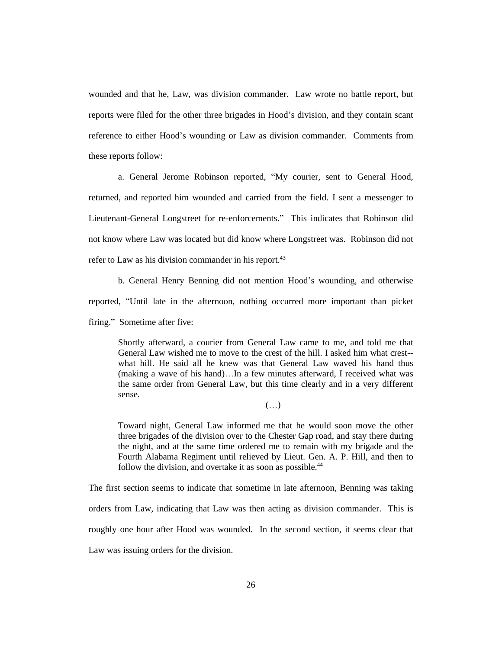wounded and that he, Law, was division commander. Law wrote no battle report, but reports were filed for the other three brigades in Hood's division, and they contain scant reference to either Hood's wounding or Law as division commander. Comments from these reports follow:

a. General Jerome Robinson reported, "My courier, sent to General Hood, returned, and reported him wounded and carried from the field. I sent a messenger to Lieutenant-General Longstreet for re-enforcements." This indicates that Robinson did not know where Law was located but did know where Longstreet was. Robinson did not refer to Law as his division commander in his report.<sup>43</sup>

b. General Henry Benning did not mention Hood's wounding, and otherwise reported, "Until late in the afternoon, nothing occurred more important than picket firing." Sometime after five:

Shortly afterward, a courier from General Law came to me, and told me that General Law wished me to move to the crest of the hill. I asked him what crest- what hill. He said all he knew was that General Law waved his hand thus (making a wave of his hand)…In a few minutes afterward, I received what was the same order from General Law, but this time clearly and in a very different sense.

(…)

Toward night, General Law informed me that he would soon move the other three brigades of the division over to the Chester Gap road, and stay there during the night, and at the same time ordered me to remain with my brigade and the Fourth Alabama Regiment until relieved by Lieut. Gen. A. P. Hill, and then to follow the division, and overtake it as soon as possible.<sup>44</sup>

The first section seems to indicate that sometime in late afternoon, Benning was taking orders from Law, indicating that Law was then acting as division commander. This is roughly one hour after Hood was wounded. In the second section, it seems clear that Law was issuing orders for the division.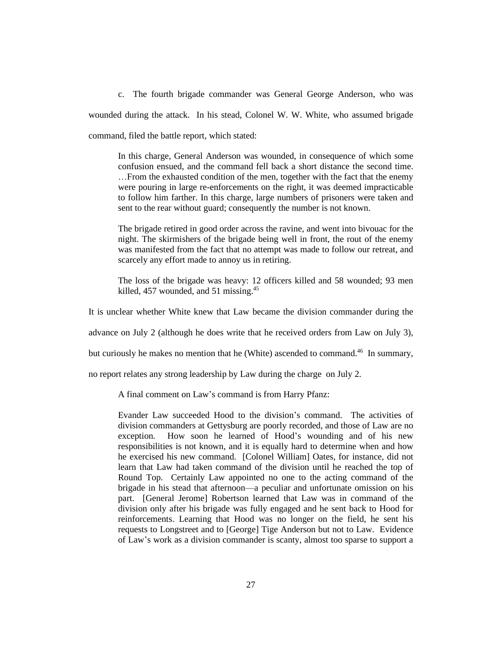c. The fourth brigade commander was General George Anderson, who was wounded during the attack. In his stead, Colonel W. W. White, who assumed brigade command, filed the battle report, which stated:

In this charge, General Anderson was wounded, in consequence of which some confusion ensued, and the command fell back a short distance the second time. …From the exhausted condition of the men, together with the fact that the enemy were pouring in large re-enforcements on the right, it was deemed impracticable to follow him farther. In this charge, large numbers of prisoners were taken and sent to the rear without guard; consequently the number is not known.

The brigade retired in good order across the ravine, and went into bivouac for the night. The skirmishers of the brigade being well in front, the rout of the enemy was manifested from the fact that no attempt was made to follow our retreat, and scarcely any effort made to annoy us in retiring.

The loss of the brigade was heavy: 12 officers killed and 58 wounded; 93 men killed, 457 wounded, and 51 missing.<sup>45</sup>

It is unclear whether White knew that Law became the division commander during the

advance on July 2 (although he does write that he received orders from Law on July 3),

but curiously he makes no mention that he (White) ascended to command.<sup>46</sup> In summary,

no report relates any strong leadership by Law during the charge on July 2.

A final comment on Law's command is from Harry Pfanz:

Evander Law succeeded Hood to the division's command. The activities of division commanders at Gettysburg are poorly recorded, and those of Law are no exception. How soon he learned of Hood's wounding and of his new responsibilities is not known, and it is equally hard to determine when and how he exercised his new command. [Colonel William] Oates, for instance, did not learn that Law had taken command of the division until he reached the top of Round Top. Certainly Law appointed no one to the acting command of the brigade in his stead that afternoon—a peculiar and unfortunate omission on his part. [General Jerome] Robertson learned that Law was in command of the division only after his brigade was fully engaged and he sent back to Hood for reinforcements. Learning that Hood was no longer on the field, he sent his requests to Longstreet and to [George] Tige Anderson but not to Law. Evidence of Law's work as a division commander is scanty, almost too sparse to support a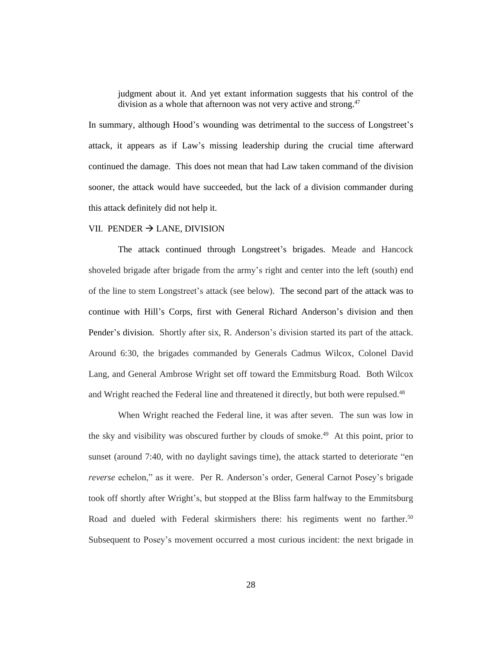judgment about it. And yet extant information suggests that his control of the division as a whole that afternoon was not very active and strong.<sup>47</sup>

In summary, although Hood's wounding was detrimental to the success of Longstreet's attack, it appears as if Law's missing leadership during the crucial time afterward continued the damage. This does not mean that had Law taken command of the division sooner, the attack would have succeeded, but the lack of a division commander during this attack definitely did not help it.

#### VII. PENDER  $\rightarrow$  LANE, DIVISION

The attack continued through Longstreet's brigades. Meade and Hancock shoveled brigade after brigade from the army's right and center into the left (south) end of the line to stem Longstreet's attack (see below). The second part of the attack was to continue with Hill's Corps, first with General Richard Anderson's division and then Pender's division. Shortly after six, R. Anderson's division started its part of the attack. Around 6:30, the brigades commanded by Generals Cadmus Wilcox, Colonel David Lang, and General Ambrose Wright set off toward the Emmitsburg Road. Both Wilcox and Wright reached the Federal line and threatened it directly, but both were repulsed.<sup>48</sup>

When Wright reached the Federal line, it was after seven. The sun was low in the sky and visibility was obscured further by clouds of smoke.<sup>49</sup> At this point, prior to sunset (around 7:40, with no daylight savings time), the attack started to deteriorate "en *reverse* echelon," as it were. Per R. Anderson's order, General Carnot Posey's brigade took off shortly after Wright's, but stopped at the Bliss farm halfway to the Emmitsburg Road and dueled with Federal skirmishers there: his regiments went no farther.<sup>50</sup> Subsequent to Posey's movement occurred a most curious incident: the next brigade in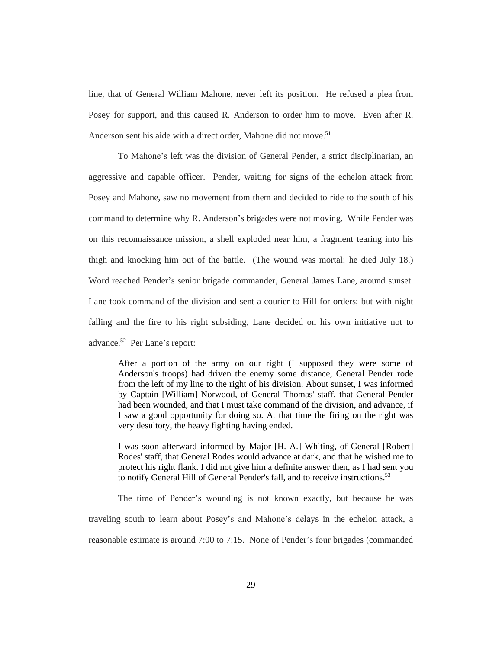line, that of General William Mahone, never left its position. He refused a plea from Posey for support, and this caused R. Anderson to order him to move. Even after R. Anderson sent his aide with a direct order, Mahone did not move.<sup>51</sup>

To Mahone's left was the division of General Pender, a strict disciplinarian, an aggressive and capable officer. Pender, waiting for signs of the echelon attack from Posey and Mahone, saw no movement from them and decided to ride to the south of his command to determine why R. Anderson's brigades were not moving. While Pender was on this reconnaissance mission, a shell exploded near him, a fragment tearing into his thigh and knocking him out of the battle. (The wound was mortal: he died July 18.) Word reached Pender's senior brigade commander, General James Lane, around sunset. Lane took command of the division and sent a courier to Hill for orders; but with night falling and the fire to his right subsiding, Lane decided on his own initiative not to advance.<sup>52</sup> Per Lane's report:

After a portion of the army on our right (I supposed they were some of Anderson's troops) had driven the enemy some distance, General Pender rode from the left of my line to the right of his division. About sunset, I was informed by Captain [William] Norwood, of General Thomas' staff, that General Pender had been wounded, and that I must take command of the division, and advance, if I saw a good opportunity for doing so. At that time the firing on the right was very desultory, the heavy fighting having ended.

I was soon afterward informed by Major [H. A.] Whiting, of General [Robert] Rodes' staff, that General Rodes would advance at dark, and that he wished me to protect his right flank. I did not give him a definite answer then, as I had sent you to notify General Hill of General Pender's fall, and to receive instructions.<sup>53</sup>

The time of Pender's wounding is not known exactly, but because he was traveling south to learn about Posey's and Mahone's delays in the echelon attack, a reasonable estimate is around 7:00 to 7:15. None of Pender's four brigades (commanded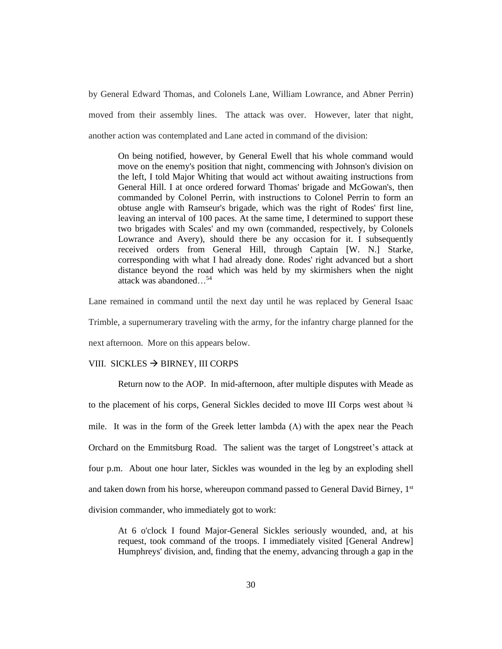by General Edward Thomas, and Colonels Lane, William Lowrance, and Abner Perrin) moved from their assembly lines. The attack was over. However, later that night, another action was contemplated and Lane acted in command of the division:

On being notified, however, by General Ewell that his whole command would move on the enemy's position that night, commencing with Johnson's division on the left, I told Major Whiting that would act without awaiting instructions from General Hill. I at once ordered forward Thomas' brigade and McGowan's, then commanded by Colonel Perrin, with instructions to Colonel Perrin to form an obtuse angle with Ramseur's brigade, which was the right of Rodes' first line, leaving an interval of 100 paces. At the same time, I determined to support these two brigades with Scales' and my own (commanded, respectively, by Colonels Lowrance and Avery), should there be any occasion for it. I subsequently received orders from General Hill, through Captain [W. N.] Starke, corresponding with what I had already done. Rodes' right advanced but a short distance beyond the road which was held by my skirmishers when the night attack was abandoned…<sup>54</sup>

Lane remained in command until the next day until he was replaced by General Isaac Trimble, a supernumerary traveling with the army, for the infantry charge planned for the next afternoon. More on this appears below.

### VIII. SICKLES  $\rightarrow$  BIRNEY, III CORPS

Return now to the AOP. In mid-afternoon, after multiple disputes with Meade as to the placement of his corps, General Sickles decided to move III Corps west about  $\frac{3}{4}$ mile. It was in the form of the Greek letter lambda  $(\Lambda)$  with the apex near the Peach Orchard on the Emmitsburg Road. The salient was the target of Longstreet's attack at four p.m. About one hour later, Sickles was wounded in the leg by an exploding shell and taken down from his horse, whereupon command passed to General David Birney,  $1<sup>st</sup>$ division commander, who immediately got to work:

At 6 o'clock I found Major-General Sickles seriously wounded, and, at his request, took command of the troops. I immediately visited [General Andrew] Humphreys' division, and, finding that the enemy, advancing through a gap in the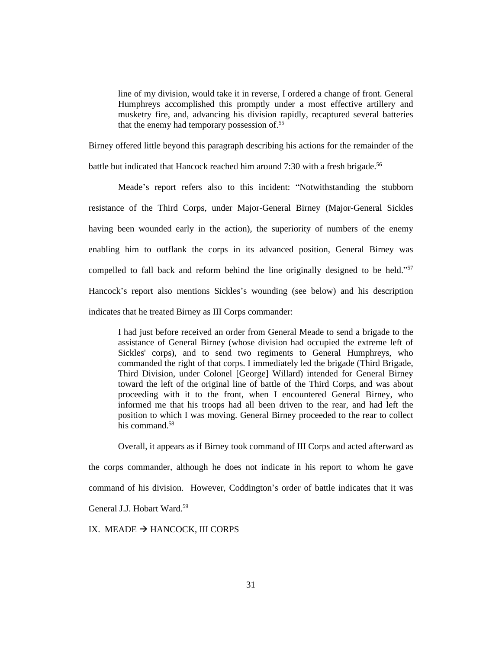line of my division, would take it in reverse, I ordered a change of front. General Humphreys accomplished this promptly under a most effective artillery and musketry fire, and, advancing his division rapidly, recaptured several batteries that the enemy had temporary possession of.<sup>55</sup>

Birney offered little beyond this paragraph describing his actions for the remainder of the battle but indicated that Hancock reached him around 7:30 with a fresh brigade.<sup>56</sup>

Meade's report refers also to this incident: "Notwithstanding the stubborn resistance of the Third Corps, under Major-General Birney (Major-General Sickles having been wounded early in the action), the superiority of numbers of the enemy enabling him to outflank the corps in its advanced position, General Birney was compelled to fall back and reform behind the line originally designed to be held."<sup>57</sup> Hancock's report also mentions Sickles's wounding (see below) and his description indicates that he treated Birney as III Corps commander:

I had just before received an order from General Meade to send a brigade to the assistance of General Birney (whose division had occupied the extreme left of Sickles' corps), and to send two regiments to General Humphreys, who commanded the right of that corps. I immediately led the brigade (Third Brigade, Third Division, under Colonel [George] Willard) intended for General Birney toward the left of the original line of battle of the Third Corps, and was about proceeding with it to the front, when I encountered General Birney, who informed me that his troops had all been driven to the rear, and had left the position to which I was moving. General Birney proceeded to the rear to collect his command<sup>58</sup>

Overall, it appears as if Birney took command of III Corps and acted afterward as the corps commander, although he does not indicate in his report to whom he gave command of his division. However, Coddington's order of battle indicates that it was General J.J. Hobart Ward. 59

IX. MEADE  $\rightarrow$  HANCOCK, III CORPS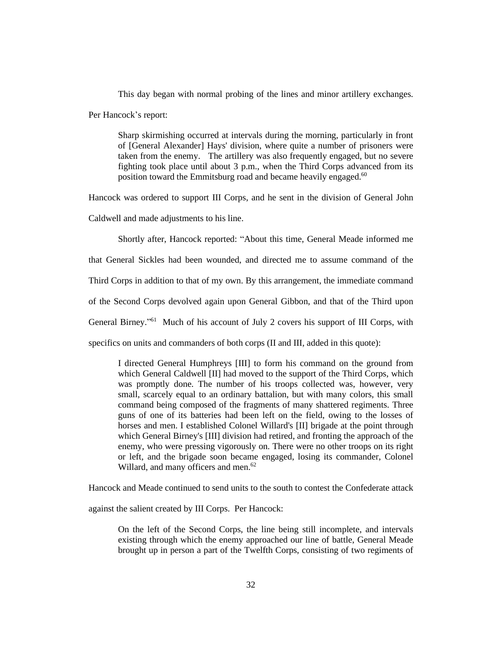This day began with normal probing of the lines and minor artillery exchanges.

Per Hancock's report:

Sharp skirmishing occurred at intervals during the morning, particularly in front of [General Alexander] Hays' division, where quite a number of prisoners were taken from the enemy. The artillery was also frequently engaged, but no severe fighting took place until about 3 p.m., when the Third Corps advanced from its position toward the Emmitsburg road and became heavily engaged.<sup>60</sup>

Hancock was ordered to support III Corps, and he sent in the division of General John

Caldwell and made adjustments to his line.

Shortly after, Hancock reported: "About this time, General Meade informed me that General Sickles had been wounded, and directed me to assume command of the Third Corps in addition to that of my own. By this arrangement, the immediate command of the Second Corps devolved again upon General Gibbon, and that of the Third upon General Birney."<sup>61</sup> Much of his account of July 2 covers his support of III Corps, with specifics on units and commanders of both corps (II and III, added in this quote):

I directed General Humphreys [III] to form his command on the ground from which General Caldwell [II] had moved to the support of the Third Corps, which was promptly done. The number of his troops collected was, however, very small, scarcely equal to an ordinary battalion, but with many colors, this small command being composed of the fragments of many shattered regiments. Three guns of one of its batteries had been left on the field, owing to the losses of horses and men. I established Colonel Willard's [II] brigade at the point through which General Birney's [III] division had retired, and fronting the approach of the enemy, who were pressing vigorously on. There were no other troops on its right or left, and the brigade soon became engaged, losing its commander, Colonel Willard, and many officers and men.<sup>62</sup>

Hancock and Meade continued to send units to the south to contest the Confederate attack

against the salient created by III Corps. Per Hancock:

On the left of the Second Corps, the line being still incomplete, and intervals existing through which the enemy approached our line of battle, General Meade brought up in person a part of the Twelfth Corps, consisting of two regiments of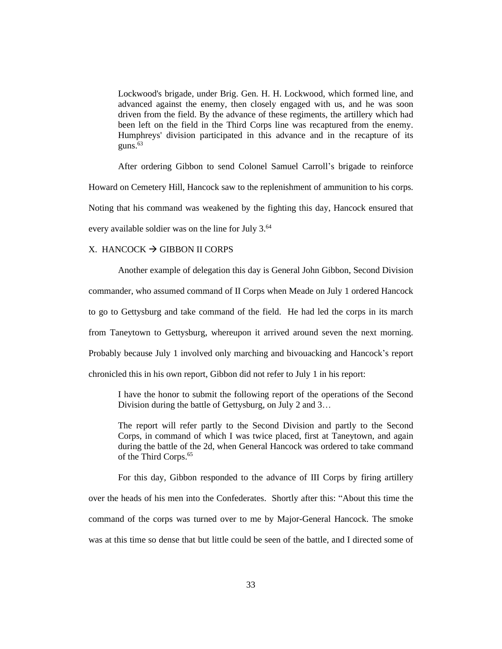Lockwood's brigade, under Brig. Gen. H. H. Lockwood, which formed line, and advanced against the enemy, then closely engaged with us, and he was soon driven from the field. By the advance of these regiments, the artillery which had been left on the field in the Third Corps line was recaptured from the enemy. Humphreys' division participated in this advance and in the recapture of its guns. $63$ 

After ordering Gibbon to send Colonel Samuel Carroll's brigade to reinforce Howard on Cemetery Hill, Hancock saw to the replenishment of ammunition to his corps. Noting that his command was weakened by the fighting this day, Hancock ensured that every available soldier was on the line for July 3.<sup>64</sup>

# X. HANCOCK  $\rightarrow$  GIBBON II CORPS

Another example of delegation this day is General John Gibbon, Second Division commander, who assumed command of II Corps when Meade on July 1 ordered Hancock to go to Gettysburg and take command of the field. He had led the corps in its march from Taneytown to Gettysburg, whereupon it arrived around seven the next morning. Probably because July 1 involved only marching and bivouacking and Hancock's report chronicled this in his own report, Gibbon did not refer to July 1 in his report:

I have the honor to submit the following report of the operations of the Second Division during the battle of Gettysburg, on July 2 and 3…

The report will refer partly to the Second Division and partly to the Second Corps, in command of which I was twice placed, first at Taneytown, and again during the battle of the 2d, when General Hancock was ordered to take command of the Third Corps. 65

For this day, Gibbon responded to the advance of III Corps by firing artillery over the heads of his men into the Confederates. Shortly after this: "About this time the command of the corps was turned over to me by Major-General Hancock. The smoke was at this time so dense that but little could be seen of the battle, and I directed some of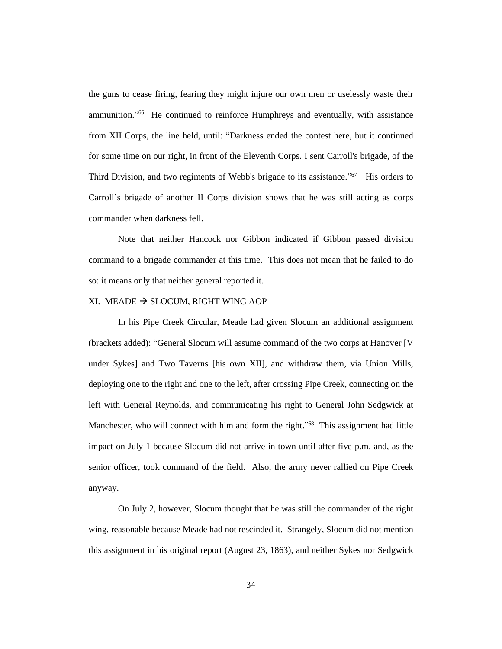the guns to cease firing, fearing they might injure our own men or uselessly waste their ammunition." 66 He continued to reinforce Humphreys and eventually, with assistance from XII Corps, the line held, until: "Darkness ended the contest here, but it continued for some time on our right, in front of the Eleventh Corps. I sent Carroll's brigade, of the Third Division, and two regiments of Webb's brigade to its assistance."<sup>67</sup> His orders to Carroll's brigade of another II Corps division shows that he was still acting as corps commander when darkness fell.

Note that neither Hancock nor Gibbon indicated if Gibbon passed division command to a brigade commander at this time. This does not mean that he failed to do so: it means only that neither general reported it.

## XI. MEADE  $\rightarrow$  SLOCUM, RIGHT WING AOP

In his Pipe Creek Circular, Meade had given Slocum an additional assignment (brackets added): "General Slocum will assume command of the two corps at Hanover [V under Sykes] and Two Taverns [his own XII], and withdraw them, via Union Mills, deploying one to the right and one to the left, after crossing Pipe Creek, connecting on the left with General Reynolds, and communicating his right to General John Sedgwick at Manchester, who will connect with him and form the right."<sup>68</sup> This assignment had little impact on July 1 because Slocum did not arrive in town until after five p.m. and, as the senior officer, took command of the field. Also, the army never rallied on Pipe Creek anyway.

On July 2, however, Slocum thought that he was still the commander of the right wing, reasonable because Meade had not rescinded it. Strangely, Slocum did not mention this assignment in his original report (August 23, 1863), and neither Sykes nor Sedgwick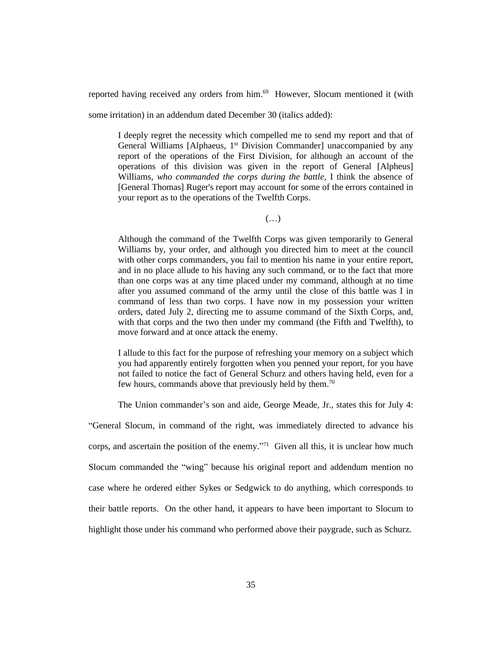reported having received any orders from him.<sup>69</sup> However, Slocum mentioned it (with

some irritation) in an addendum dated December 30 (italics added):

I deeply regret the necessity which compelled me to send my report and that of General Williams [Alphaeus, 1<sup>st</sup> Division Commander] unaccompanied by any report of the operations of the First Division, for although an account of the operations of this division was given in the report of General [Alpheus] Williams, *who commanded the corps during the battle,* I think the absence of [General Thomas] Ruger's report may account for some of the errors contained in your report as to the operations of the Twelfth Corps.

 $(\ldots)$ 

Although the command of the Twelfth Corps was given temporarily to General Williams by, your order, and although you directed him to meet at the council with other corps commanders, you fail to mention his name in your entire report, and in no place allude to his having any such command, or to the fact that more than one corps was at any time placed under my command, although at no time after you assumed command of the army until the close of this battle was I in command of less than two corps. I have now in my possession your written orders, dated July 2, directing me to assume command of the Sixth Corps, and, with that corps and the two then under my command (the Fifth and Twelfth), to move forward and at once attack the enemy.

I allude to this fact for the purpose of refreshing your memory on a subject which you had apparently entirely forgotten when you penned your report, for you have not failed to notice the fact of General Schurz and others having held, even for a few hours, commands above that previously held by them.<sup>70</sup>

The Union commander's son and aide, George Meade, Jr., states this for July 4:

"General Slocum, in command of the right, was immediately directed to advance his corps, and ascertain the position of the enemy."<sup>71</sup> Given all this, it is unclear how much Slocum commanded the "wing" because his original report and addendum mention no case where he ordered either Sykes or Sedgwick to do anything, which corresponds to their battle reports. On the other hand, it appears to have been important to Slocum to highlight those under his command who performed above their paygrade, such as Schurz.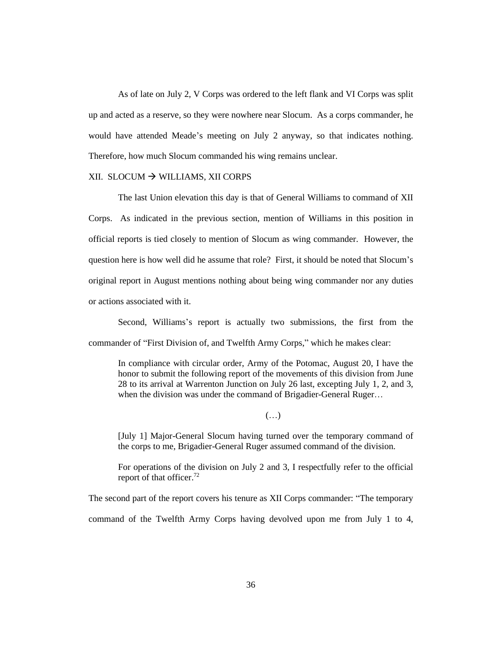As of late on July 2, V Corps was ordered to the left flank and VI Corps was split up and acted as a reserve, so they were nowhere near Slocum. As a corps commander, he would have attended Meade's meeting on July 2 anyway, so that indicates nothing. Therefore, how much Slocum commanded his wing remains unclear.

### XII. SLOCUM  $\rightarrow$  WILLIAMS, XII CORPS

The last Union elevation this day is that of General Williams to command of XII Corps. As indicated in the previous section, mention of Williams in this position in official reports is tied closely to mention of Slocum as wing commander. However, the question here is how well did he assume that role? First, it should be noted that Slocum's original report in August mentions nothing about being wing commander nor any duties or actions associated with it.

Second, Williams's report is actually two submissions, the first from the commander of "First Division of, and Twelfth Army Corps," which he makes clear:

In compliance with circular order, Army of the Potomac, August 20, I have the honor to submit the following report of the movements of this division from June 28 to its arrival at Warrenton Junction on July 26 last, excepting July 1, 2, and 3, when the division was under the command of Brigadier-General Ruger…

(…)

[July 1] Major-General Slocum having turned over the temporary command of the corps to me, Brigadier-General Ruger assumed command of the division.

For operations of the division on July 2 and 3, I respectfully refer to the official report of that officer.<sup>72</sup>

The second part of the report covers his tenure as XII Corps commander: "The temporary command of the Twelfth Army Corps having devolved upon me from July 1 to 4,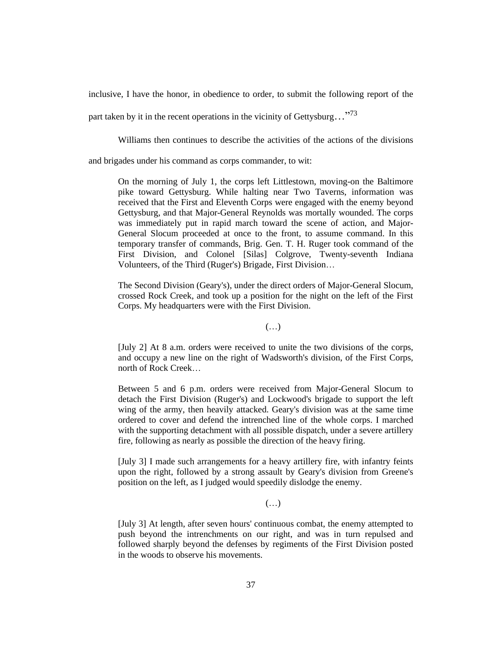inclusive, I have the honor, in obedience to order, to submit the following report of the

part taken by it in the recent operations in the vicinity of Gettysburg...<sup>"73</sup>

Williams then continues to describe the activities of the actions of the divisions

and brigades under his command as corps commander, to wit:

On the morning of July 1, the corps left Littlestown, moving-on the Baltimore pike toward Gettysburg. While halting near Two Taverns, information was received that the First and Eleventh Corps were engaged with the enemy beyond Gettysburg, and that Major-General Reynolds was mortally wounded. The corps was immediately put in rapid march toward the scene of action, and Major-General Slocum proceeded at once to the front, to assume command. In this temporary transfer of commands, Brig. Gen. T. H. Ruger took command of the First Division, and Colonel [Silas] Colgrove, Twenty-seventh Indiana Volunteers, of the Third (Ruger's) Brigade, First Division…

The Second Division (Geary's), under the direct orders of Major-General Slocum, crossed Rock Creek, and took up a position for the night on the left of the First Corps. My headquarters were with the First Division.

# $(\ldots)$

[July 2] At 8 a.m. orders were received to unite the two divisions of the corps, and occupy a new line on the right of Wadsworth's division, of the First Corps, north of Rock Creek…

Between 5 and 6 p.m. orders were received from Major-General Slocum to detach the First Division (Ruger's) and Lockwood's brigade to support the left wing of the army, then heavily attacked. Geary's division was at the same time ordered to cover and defend the intrenched line of the whole corps. I marched with the supporting detachment with all possible dispatch, under a severe artillery fire, following as nearly as possible the direction of the heavy firing.

[July 3] I made such arrangements for a heavy artillery fire, with infantry feints upon the right, followed by a strong assault by Geary's division from Greene's position on the left, as I judged would speedily dislodge the enemy.

 $(\ldots)$ 

[July 3] At length, after seven hours' continuous combat, the enemy attempted to push beyond the intrenchments on our right, and was in turn repulsed and followed sharply beyond the defenses by regiments of the First Division posted in the woods to observe his movements.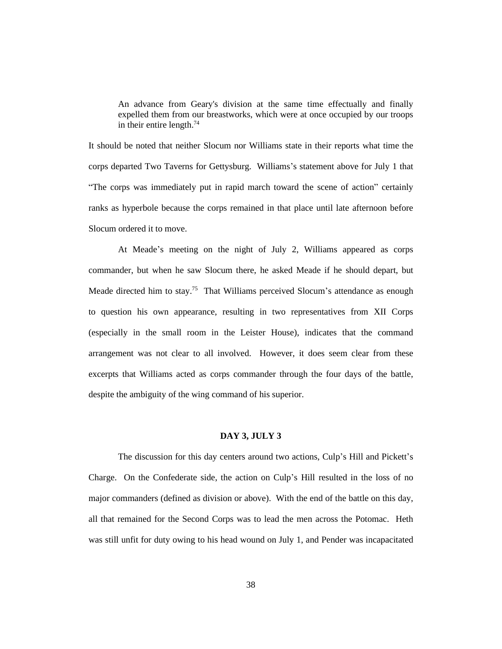An advance from Geary's division at the same time effectually and finally expelled them from our breastworks, which were at once occupied by our troops in their entire length. 74

It should be noted that neither Slocum nor Williams state in their reports what time the corps departed Two Taverns for Gettysburg. Williams's statement above for July 1 that "The corps was immediately put in rapid march toward the scene of action" certainly ranks as hyperbole because the corps remained in that place until late afternoon before Slocum ordered it to move.

At Meade's meeting on the night of July 2, Williams appeared as corps commander, but when he saw Slocum there, he asked Meade if he should depart, but Meade directed him to stay.<sup>75</sup> That Williams perceived Slocum's attendance as enough to question his own appearance, resulting in two representatives from XII Corps (especially in the small room in the Leister House), indicates that the command arrangement was not clear to all involved. However, it does seem clear from these excerpts that Williams acted as corps commander through the four days of the battle, despite the ambiguity of the wing command of his superior.

#### **DAY 3, JULY 3**

The discussion for this day centers around two actions, Culp's Hill and Pickett's Charge. On the Confederate side, the action on Culp's Hill resulted in the loss of no major commanders (defined as division or above). With the end of the battle on this day, all that remained for the Second Corps was to lead the men across the Potomac. Heth was still unfit for duty owing to his head wound on July 1, and Pender was incapacitated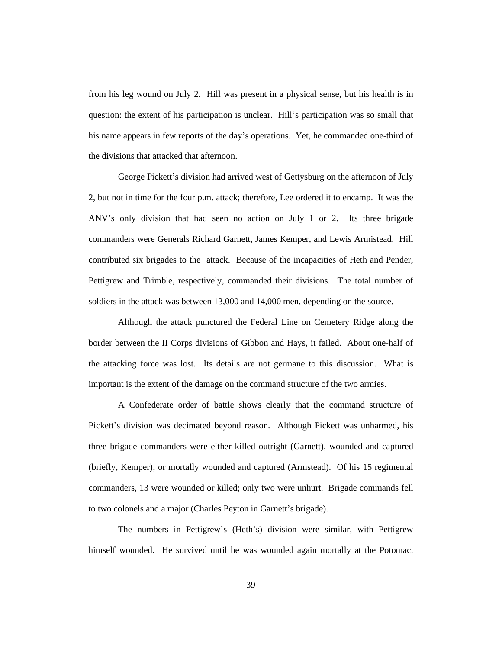from his leg wound on July 2. Hill was present in a physical sense, but his health is in question: the extent of his participation is unclear. Hill's participation was so small that his name appears in few reports of the day's operations. Yet, he commanded one-third of the divisions that attacked that afternoon.

George Pickett's division had arrived west of Gettysburg on the afternoon of July 2, but not in time for the four p.m. attack; therefore, Lee ordered it to encamp. It was the ANV's only division that had seen no action on July 1 or 2. Its three brigade commanders were Generals Richard Garnett, James Kemper, and Lewis Armistead. Hill contributed six brigades to the attack. Because of the incapacities of Heth and Pender, Pettigrew and Trimble, respectively, commanded their divisions. The total number of soldiers in the attack was between 13,000 and 14,000 men, depending on the source.

Although the attack punctured the Federal Line on Cemetery Ridge along the border between the II Corps divisions of Gibbon and Hays, it failed. About one-half of the attacking force was lost. Its details are not germane to this discussion. What is important is the extent of the damage on the command structure of the two armies.

A Confederate order of battle shows clearly that the command structure of Pickett's division was decimated beyond reason. Although Pickett was unharmed, his three brigade commanders were either killed outright (Garnett), wounded and captured (briefly, Kemper), or mortally wounded and captured (Armstead). Of his 15 regimental commanders, 13 were wounded or killed; only two were unhurt. Brigade commands fell to two colonels and a major (Charles Peyton in Garnett's brigade).

The numbers in Pettigrew's (Heth's) division were similar, with Pettigrew himself wounded. He survived until he was wounded again mortally at the Potomac.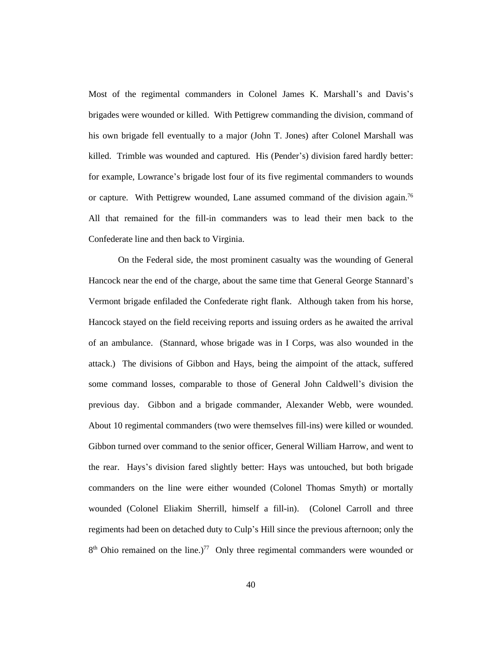Most of the regimental commanders in Colonel James K. Marshall's and Davis's brigades were wounded or killed. With Pettigrew commanding the division, command of his own brigade fell eventually to a major (John T. Jones) after Colonel Marshall was killed. Trimble was wounded and captured. His (Pender's) division fared hardly better: for example, Lowrance's brigade lost four of its five regimental commanders to wounds or capture. With Pettigrew wounded, Lane assumed command of the division again.<sup>76</sup> All that remained for the fill-in commanders was to lead their men back to the Confederate line and then back to Virginia.

On the Federal side, the most prominent casualty was the wounding of General Hancock near the end of the charge, about the same time that General George Stannard's Vermont brigade enfiladed the Confederate right flank. Although taken from his horse, Hancock stayed on the field receiving reports and issuing orders as he awaited the arrival of an ambulance. (Stannard, whose brigade was in I Corps, was also wounded in the attack.) The divisions of Gibbon and Hays, being the aimpoint of the attack, suffered some command losses, comparable to those of General John Caldwell's division the previous day. Gibbon and a brigade commander, Alexander Webb, were wounded. About 10 regimental commanders (two were themselves fill-ins) were killed or wounded. Gibbon turned over command to the senior officer, General William Harrow, and went to the rear. Hays's division fared slightly better: Hays was untouched, but both brigade commanders on the line were either wounded (Colonel Thomas Smyth) or mortally wounded (Colonel Eliakim Sherrill, himself a fill-in). (Colonel Carroll and three regiments had been on detached duty to Culp's Hill since the previous afternoon; only the  $8<sup>th</sup>$  Ohio remained on the line.)<sup>77</sup> Only three regimental commanders were wounded or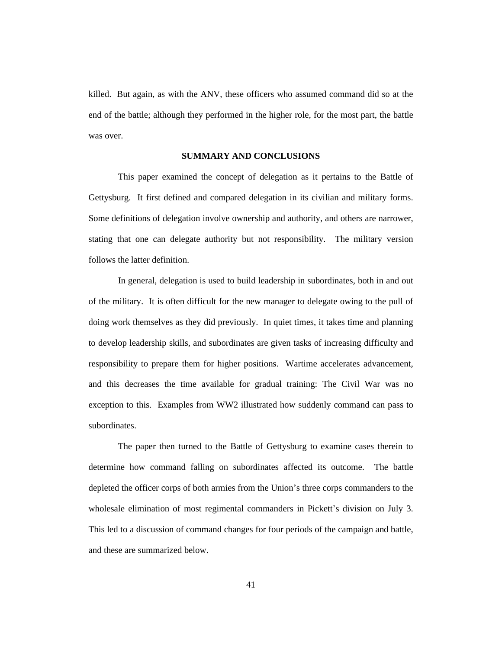killed. But again, as with the ANV, these officers who assumed command did so at the end of the battle; although they performed in the higher role, for the most part, the battle was over.

### **SUMMARY AND CONCLUSIONS**

This paper examined the concept of delegation as it pertains to the Battle of Gettysburg. It first defined and compared delegation in its civilian and military forms. Some definitions of delegation involve ownership and authority, and others are narrower, stating that one can delegate authority but not responsibility. The military version follows the latter definition.

In general, delegation is used to build leadership in subordinates, both in and out of the military. It is often difficult for the new manager to delegate owing to the pull of doing work themselves as they did previously. In quiet times, it takes time and planning to develop leadership skills, and subordinates are given tasks of increasing difficulty and responsibility to prepare them for higher positions. Wartime accelerates advancement, and this decreases the time available for gradual training: The Civil War was no exception to this. Examples from WW2 illustrated how suddenly command can pass to subordinates.

The paper then turned to the Battle of Gettysburg to examine cases therein to determine how command falling on subordinates affected its outcome. The battle depleted the officer corps of both armies from the Union's three corps commanders to the wholesale elimination of most regimental commanders in Pickett's division on July 3. This led to a discussion of command changes for four periods of the campaign and battle, and these are summarized below.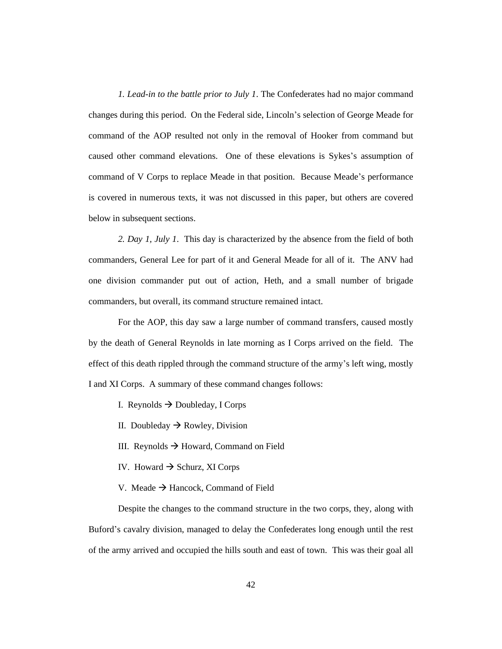*1. Lead-in to the battle prior to July 1*. The Confederates had no major command changes during this period. On the Federal side, Lincoln's selection of George Meade for command of the AOP resulted not only in the removal of Hooker from command but caused other command elevations. One of these elevations is Sykes's assumption of command of V Corps to replace Meade in that position. Because Meade's performance is covered in numerous texts, it was not discussed in this paper, but others are covered below in subsequent sections.

*2. Day 1, July 1*. This day is characterized by the absence from the field of both commanders, General Lee for part of it and General Meade for all of it. The ANV had one division commander put out of action, Heth, and a small number of brigade commanders, but overall, its command structure remained intact.

For the AOP, this day saw a large number of command transfers, caused mostly by the death of General Reynolds in late morning as I Corps arrived on the field. The effect of this death rippled through the command structure of the army's left wing, mostly I and XI Corps. A summary of these command changes follows:

I. Reynolds  $\rightarrow$  Doubleday, I Corps

II. Doubleday  $\rightarrow$  Rowley, Division

III. Reynolds  $\rightarrow$  Howard, Command on Field

IV. Howard  $\rightarrow$  Schurz, XI Corps

V. Meade  $\rightarrow$  Hancock, Command of Field

Despite the changes to the command structure in the two corps, they, along with Buford's cavalry division, managed to delay the Confederates long enough until the rest of the army arrived and occupied the hills south and east of town. This was their goal all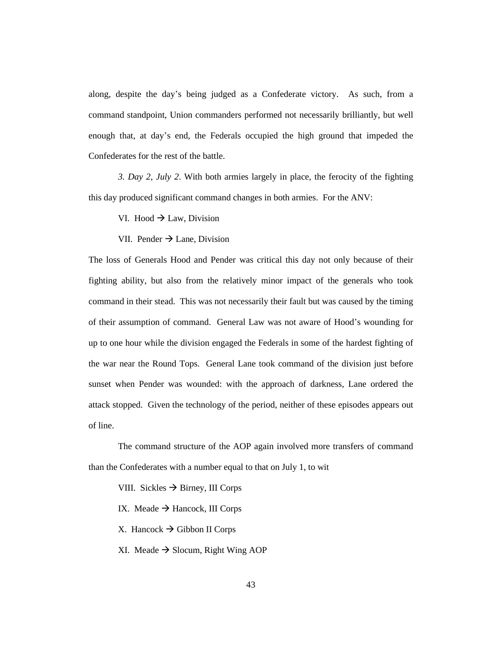along, despite the day's being judged as a Confederate victory. As such, from a command standpoint, Union commanders performed not necessarily brilliantly, but well enough that, at day's end, the Federals occupied the high ground that impeded the Confederates for the rest of the battle.

*3. Day 2, July 2*. With both armies largely in place, the ferocity of the fighting this day produced significant command changes in both armies. For the ANV:

VI. Hood  $\rightarrow$  Law, Division

VII. Pender  $\rightarrow$  Lane, Division

The loss of Generals Hood and Pender was critical this day not only because of their fighting ability, but also from the relatively minor impact of the generals who took command in their stead. This was not necessarily their fault but was caused by the timing of their assumption of command. General Law was not aware of Hood's wounding for up to one hour while the division engaged the Federals in some of the hardest fighting of the war near the Round Tops. General Lane took command of the division just before sunset when Pender was wounded: with the approach of darkness, Lane ordered the attack stopped. Given the technology of the period, neither of these episodes appears out of line.

The command structure of the AOP again involved more transfers of command than the Confederates with a number equal to that on July 1, to wit

VIII. Sickles  $\rightarrow$  Birney, III Corps IX. Meade  $\rightarrow$  Hancock, III Corps X. Hancock  $\rightarrow$  Gibbon II Corps XI. Meade  $\rightarrow$  Slocum, Right Wing AOP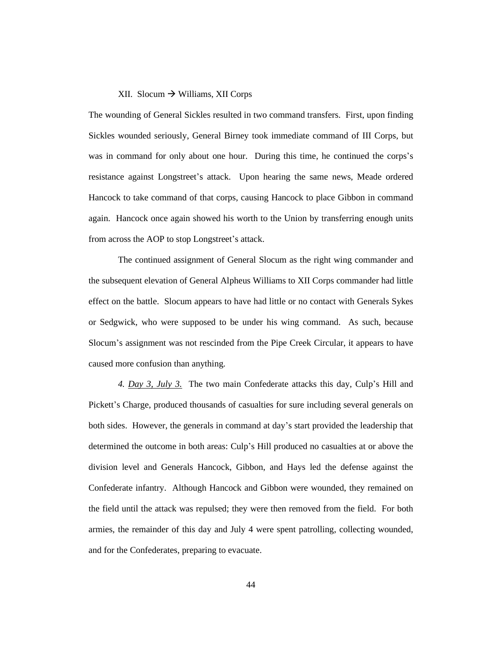# XII. Slocum  $\rightarrow$  Williams, XII Corps

The wounding of General Sickles resulted in two command transfers. First, upon finding Sickles wounded seriously, General Birney took immediate command of III Corps, but was in command for only about one hour. During this time, he continued the corps's resistance against Longstreet's attack. Upon hearing the same news, Meade ordered Hancock to take command of that corps, causing Hancock to place Gibbon in command again. Hancock once again showed his worth to the Union by transferring enough units from across the AOP to stop Longstreet's attack.

The continued assignment of General Slocum as the right wing commander and the subsequent elevation of General Alpheus Williams to XII Corps commander had little effect on the battle. Slocum appears to have had little or no contact with Generals Sykes or Sedgwick, who were supposed to be under his wing command. As such, because Slocum's assignment was not rescinded from the Pipe Creek Circular, it appears to have caused more confusion than anything.

*4. Day 3, July 3.* The two main Confederate attacks this day, Culp's Hill and Pickett's Charge, produced thousands of casualties for sure including several generals on both sides. However, the generals in command at day's start provided the leadership that determined the outcome in both areas: Culp's Hill produced no casualties at or above the division level and Generals Hancock, Gibbon, and Hays led the defense against the Confederate infantry. Although Hancock and Gibbon were wounded, they remained on the field until the attack was repulsed; they were then removed from the field. For both armies, the remainder of this day and July 4 were spent patrolling, collecting wounded, and for the Confederates, preparing to evacuate.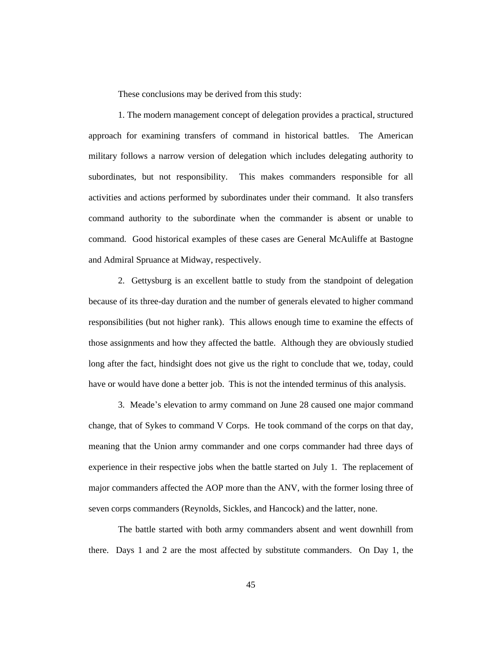These conclusions may be derived from this study:

1. The modern management concept of delegation provides a practical, structured approach for examining transfers of command in historical battles. The American military follows a narrow version of delegation which includes delegating authority to subordinates, but not responsibility. This makes commanders responsible for all activities and actions performed by subordinates under their command. It also transfers command authority to the subordinate when the commander is absent or unable to command. Good historical examples of these cases are General McAuliffe at Bastogne and Admiral Spruance at Midway, respectively.

2. Gettysburg is an excellent battle to study from the standpoint of delegation because of its three-day duration and the number of generals elevated to higher command responsibilities (but not higher rank). This allows enough time to examine the effects of those assignments and how they affected the battle. Although they are obviously studied long after the fact, hindsight does not give us the right to conclude that we, today, could have or would have done a better job. This is not the intended terminus of this analysis.

3. Meade's elevation to army command on June 28 caused one major command change, that of Sykes to command V Corps. He took command of the corps on that day, meaning that the Union army commander and one corps commander had three days of experience in their respective jobs when the battle started on July 1. The replacement of major commanders affected the AOP more than the ANV, with the former losing three of seven corps commanders (Reynolds, Sickles, and Hancock) and the latter, none.

The battle started with both army commanders absent and went downhill from there. Days 1 and 2 are the most affected by substitute commanders. On Day 1, the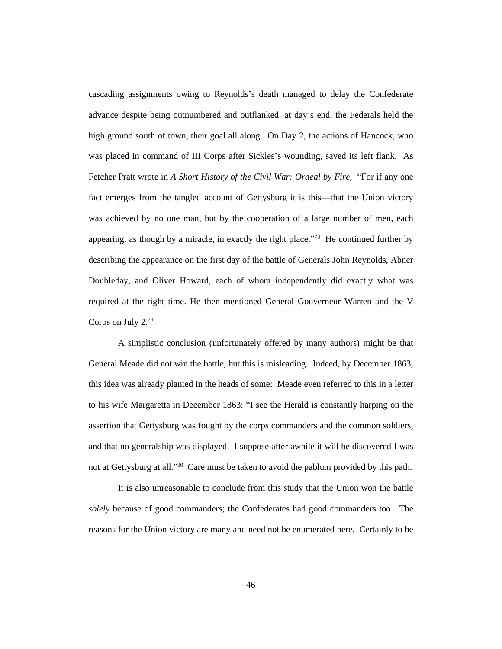cascading assignments owing to Reynolds's death managed to delay the Confederate advance despite being outnumbered and outflanked: at day's end, the Federals held the high ground south of town, their goal all along. On Day 2, the actions of Hancock, who was placed in command of III Corps after Sickles's wounding, saved its left flank. As Fetcher Pratt wrote in *A Short History of the Civil War: Ordeal by Fire,* "For if any one fact emerges from the tangled account of Gettysburg it is this—that the Union victory was achieved by no one man, but by the cooperation of a large number of men, each appearing, as though by a miracle, in exactly the right place.<sup> $378$ </sup> He continued further by describing the appearance on the first day of the battle of Generals John Reynolds, Abner Doubleday, and Oliver Howard, each of whom independently did exactly what was required at the right time. He then mentioned General Gouverneur Warren and the V Corps on July 2.79

A simplistic conclusion (unfortunately offered by many authors) might be that General Meade did not win the battle, but this is misleading. Indeed, by December 1863, this idea was already planted in the heads of some: Meade even referred to this in a letter to his wife Margaretta in December 1863: "I see the Herald is constantly harping on the assertion that Gettysburg was fought by the corps commanders and the common soldiers, and that no generalship was displayed. I suppose after awhile it will be discovered I was not at Gettysburg at all."<sup>80</sup> Care must be taken to avoid the pablum provided by this path.

It is also unreasonable to conclude from this study that the Union won the battle *solely* because of good commanders; the Confederates had good commanders too. The reasons for the Union victory are many and need not be enumerated here. Certainly to be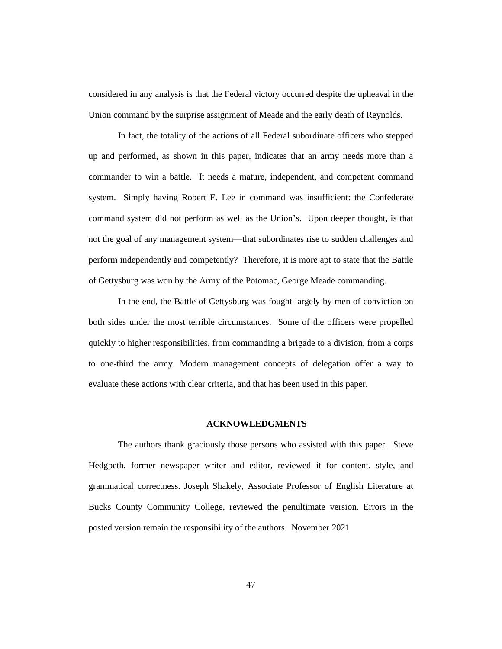considered in any analysis is that the Federal victory occurred despite the upheaval in the Union command by the surprise assignment of Meade and the early death of Reynolds.

In fact, the totality of the actions of all Federal subordinate officers who stepped up and performed, as shown in this paper, indicates that an army needs more than a commander to win a battle. It needs a mature, independent, and competent command system. Simply having Robert E. Lee in command was insufficient: the Confederate command system did not perform as well as the Union's. Upon deeper thought, is that not the goal of any management system—that subordinates rise to sudden challenges and perform independently and competently? Therefore, it is more apt to state that the Battle of Gettysburg was won by the Army of the Potomac, George Meade commanding.

In the end, the Battle of Gettysburg was fought largely by men of conviction on both sides under the most terrible circumstances. Some of the officers were propelled quickly to higher responsibilities, from commanding a brigade to a division, from a corps to one-third the army. Modern management concepts of delegation offer a way to evaluate these actions with clear criteria, and that has been used in this paper.

### **ACKNOWLEDGMENTS**

The authors thank graciously those persons who assisted with this paper. Steve Hedgpeth, former newspaper writer and editor, reviewed it for content, style, and grammatical correctness. Joseph Shakely, Associate Professor of English Literature at Bucks County Community College, reviewed the penultimate version. Errors in the posted version remain the responsibility of the authors. November 2021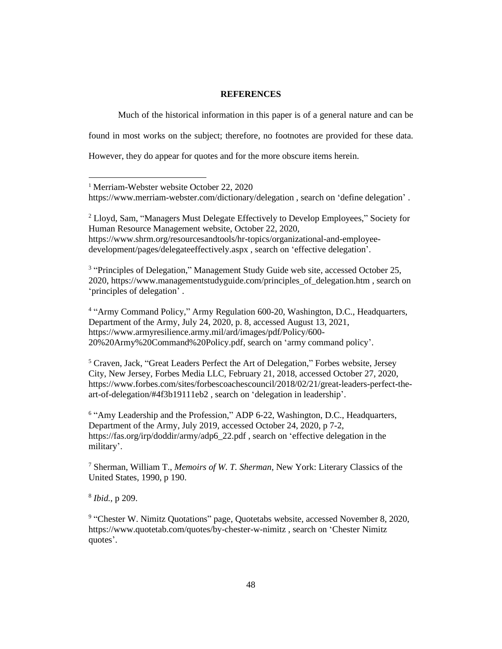### **REFERENCES**

Much of the historical information in this paper is of a general nature and can be

found in most works on the subject; therefore, no footnotes are provided for these data.

However, they do appear for quotes and for the more obscure items herein.

<sup>2</sup> Lloyd, Sam, "Managers Must Delegate Effectively to Develop Employees," Society for Human Resource Management website, October 22, 2020, https://www.shrm.org/resourcesandtools/hr-topics/organizational-and-employeedevelopment/pages/delegateeffectively.aspx , search on 'effective delegation'.

<sup>3</sup> "Principles of Delegation," Management Study Guide web site, accessed October 25, 2020, https://www.managementstudyguide.com/principles\_of\_delegation.htm , search on 'principles of delegation' .

<sup>4</sup> "Army Command Policy," Army Regulation 600-20, Washington, D.C., Headquarters, Department of the Army, July 24, 2020, p. 8, accessed August 13, 2021, https://www.armyresilience.army.mil/ard/images/pdf/Policy/600- 20%20Army%20Command%20Policy.pdf, search on 'army command policy'.

<sup>5</sup> Craven, Jack, "Great Leaders Perfect the Art of Delegation," Forbes website, Jersey City, New Jersey, Forbes Media LLC, February 21, 2018, accessed October 27, 2020, https://www.forbes.com/sites/forbescoachescouncil/2018/02/21/great-leaders-perfect-theart-of-delegation/#4f3b19111eb2 , search on 'delegation in leadership'.

<sup>6</sup> "Amy Leadership and the Profession," ADP 6-22, Washington, D.C., Headquarters, Department of the Army, July 2019, accessed October 24, 2020, p 7-2, https://fas.org/irp/doddir/army/adp6\_22.pdf , search on 'effective delegation in the military'.

<sup>7</sup> Sherman, William T., *Memoirs of W. T. Sherman*, New York: Literary Classics of the United States, 1990, p 190.

8 *Ibid.,* p 209.

<sup>9</sup> "Chester W. Nimitz Quotations" page, Quotetabs website, accessed November 8, 2020, https://www.quotetab.com/quotes/by-chester-w-nimitz , search on 'Chester Nimitz quotes'.

<sup>&</sup>lt;sup>1</sup> Merriam-Webster website October 22, 2020 https://www.merriam-webster.com/dictionary/delegation , search on 'define delegation' .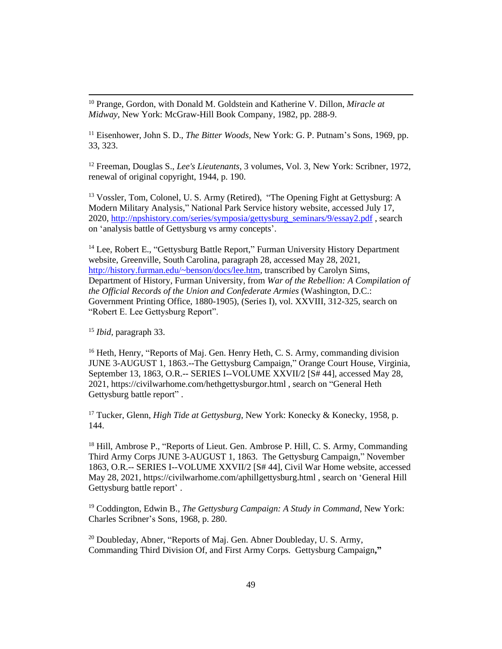<sup>10</sup> Prange, Gordon, with Donald M. Goldstein and Katherine V. Dillon, *Miracle at Midway*, New York: McGraw-Hill Book Company, 1982, pp. 288-9.

<sup>11</sup> Eisenhower, John S. D., *The Bitter Woods,* New York: G. P. Putnam's Sons, 1969, pp. 33, 323.

<sup>12</sup> Freeman, Douglas S., *Lee's Lieutenants*, 3 volumes, Vol. 3, New York: Scribner, 1972, renewal of original copyright, 1944, p. 190.

<sup>13</sup> Vossler, Tom, Colonel, U. S. Army (Retired), "The Opening Fight at Gettysburg: A Modern Military Analysis," National Park Service history website, accessed July 17, 2020, [http://npshistory.com/series/symposia/gettysburg\\_seminars/9/essay2.pdf](http://npshistory.com/series/symposia/gettysburg_seminars/9/essay2.pdf) , search on 'analysis battle of Gettysburg vs army concepts'.

<sup>14</sup> Lee, Robert E., "Gettysburg Battle Report," Furman University History Department website, Greenville, South Carolina, paragraph 28, accessed May 28, 2021, [http://history.furman.edu/~benson/docs/lee.htm,](http://history.furman.edu/~benson/docs/lee.htm) transcribed by Carolyn Sims, Department of History, Furman University, from *War of the Rebellion: A Compilation of the Official Records of the Union and Confederate Armies* (Washington, D.C.: Government Printing Office, 1880-1905), (Series I), vol. XXVIII, 312-325, search on "Robert E. Lee Gettysburg Report".

<sup>15</sup> *Ibid,* paragraph 33.

<sup>16</sup> Heth, Henry, "Reports of Maj. Gen. Henry Heth, C. S. Army, commanding division JUNE 3-AUGUST 1, 1863.--The Gettysburg Campaign," Orange Court House, Virginia, September 13, 1863, O.R.-- SERIES I--VOLUME XXVII/2 [S# 44], accessed May 28, 2021, https://civilwarhome.com/hethgettysburgor.html , search on "General Heth Gettysburg battle report" .

<sup>17</sup> Tucker, Glenn, *High Tide at Gettysburg*, New York: Konecky & Konecky, 1958, p. 144.

<sup>18</sup> Hill, Ambrose P., "Reports of Lieut. Gen. Ambrose P. Hill, C. S. Army, Commanding Third Army Corps JUNE 3-AUGUST 1, 1863. The Gettysburg Campaign," November 1863, O.R.-- SERIES I--VOLUME XXVII/2 [S# 44], Civil War Home website, accessed May 28, 2021, https://civilwarhome.com/aphillgettysburg.html , search on 'General Hill Gettysburg battle report' .

<sup>19</sup> Coddington, Edwin B., *The Gettysburg Campaign: A Study in Command*, New York: Charles Scribner's Sons, 1968, p. 280.

<sup>20</sup> Doubleday, Abner, "Reports of Maj. Gen. Abner Doubleday, U. S. Army, Commanding Third Division Of, and First Army Corps. Gettysburg Campaign**,"**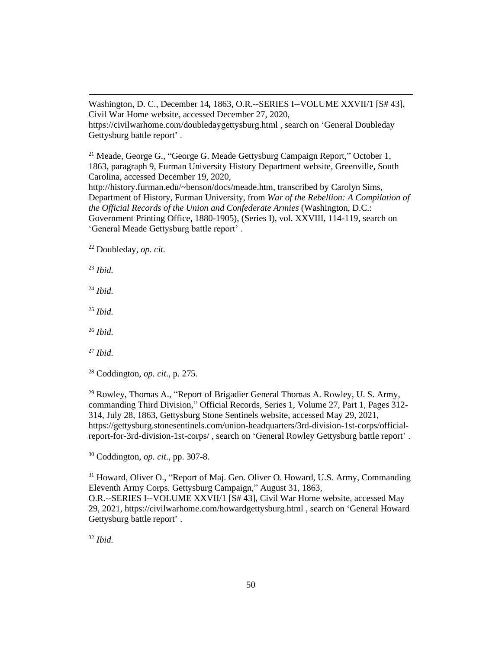Washington*,* D. C., December 14*,* 1863, O.R.--SERIES I--VOLUME XXVII/1 [S# 43], Civil War Home website, accessed December 27, 2020, https://civilwarhome.com/doubledaygettysburg.html , search on 'General Doubleday Gettysburg battle report' .

<sup>21</sup> Meade, George G., "George G. Meade Gettysburg Campaign Report," October 1, 1863, paragraph 9, Furman University History Department website, Greenville, South Carolina, accessed December 19, 2020,

http://history.furman.edu/~benson/docs/meade.htm, transcribed by Carolyn Sims, Department of History, Furman University, from *War of the Rebellion: A Compilation of the Official Records of the Union and Confederate Armies* (Washington, D.C.: Government Printing Office, 1880-1905), (Series I), vol. XXVIII, 114-119, search on 'General Meade Gettysburg battle report' .

<sup>22</sup> Doubleday, *op. cit.*

<sup>23</sup> *Ibid.*

<sup>24</sup> *Ibid.*

<sup>25</sup> *Ibid.*

<sup>26</sup> *Ibid.*

<sup>27</sup> *Ibid.*

<sup>28</sup> Coddington, *op. cit*., p. 275.

 $29$  Rowley, Thomas A., "Report of Brigadier General Thomas A. Rowley, U. S. Army, commanding Third Division," Official Records, Series 1, Volume 27, Part 1, Pages 312- 314, July 28, 1863, Gettysburg Stone Sentinels website, accessed May 29, 2021, https://gettysburg.stonesentinels.com/union-headquarters/3rd-division-1st-corps/officialreport-for-3rd-division-1st-corps/ , search on 'General Rowley Gettysburg battle report' .

<sup>30</sup> Coddington, *op. cit*., pp. 307-8.

<sup>31</sup> Howard, Oliver O., "Report of Maj. Gen. Oliver O. Howard, U.S. Army, Commanding Eleventh Army Corps. Gettysburg Campaign," August 31, 1863, O.R.--SERIES I--VOLUME XXVII/1 [S# 43], Civil War Home website, accessed May 29, 2021, https://civilwarhome.com/howardgettysburg.html , search on 'General Howard Gettysburg battle report' .

<sup>32</sup> *Ibid.*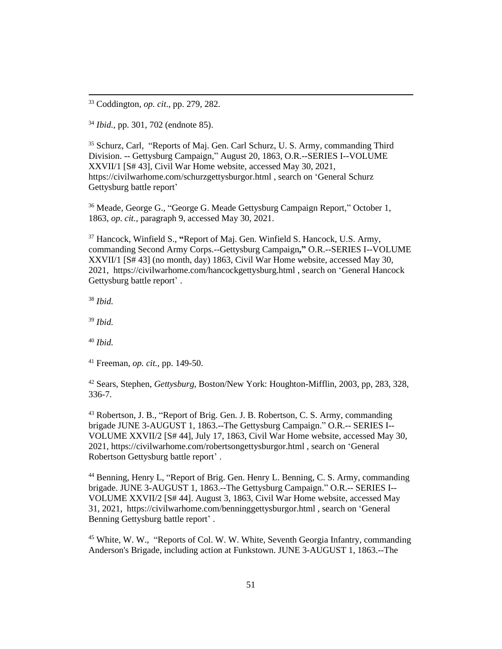<sup>33</sup> Coddington, *op. cit*., pp. 279, 282.

<sup>34</sup> *Ibid.,* pp. 301, 702 (endnote 85).

<sup>35</sup> Schurz, Carl, "Reports of Maj. Gen. Carl Schurz, U. S. Army, commanding Third Division. -- Gettysburg Campaign," August 20, 1863, O.R.--SERIES I--VOLUME XXVII/1 [S# 43], Civil War Home website, accessed May 30, 2021, https://civilwarhome.com/schurzgettysburgor.html , search on 'General Schurz Gettysburg battle report'

<sup>36</sup> Meade, George G., "George G. Meade Gettysburg Campaign Report," October 1, 1863, *op. cit.,* paragraph 9, accessed May 30, 2021.

<sup>37</sup> Hancock, Winfield S., **"**Report of Maj. Gen. Winfield S. Hancock, U.S. Army, commanding Second Army Corps.--Gettysburg Campaign**,"** O.R.--SERIES I--VOLUME XXVII/1 [S# 43] (no month, day) 1863, Civil War Home website, accessed May 30, 2021, https://civilwarhome.com/hancockgettysburg.html , search on 'General Hancock Gettysburg battle report' .

<sup>38</sup> *Ibid.*

<sup>39</sup> *Ibid.*

<sup>40</sup> *Ibid.*

<sup>41</sup> Freeman, *op. cit.*, pp. 149-50.

<sup>42</sup> Sears, Stephen, *Gettysburg*, Boston/New York: Houghton-Mifflin, 2003, pp, 283, 328, 336-7.

<sup>43</sup> Robertson, J. B., "Report of Brig. Gen. J. B. Robertson, C. S. Army, commanding brigade JUNE 3-AUGUST 1, 1863.--The Gettysburg Campaign." O.R.-- SERIES I-- VOLUME XXVII/2 [S# 44], July 17, 1863, Civil War Home website, accessed May 30, 2021, https://civilwarhome.com/robertsongettysburgor.html , search on 'General Robertson Gettysburg battle report' .

<sup>44</sup> Benning, Henry L, "Report of Brig. Gen. Henry L. Benning, C. S. Army, commanding brigade. JUNE 3-AUGUST 1, 1863.--The Gettysburg Campaign." O.R.-- SERIES I-- VOLUME XXVII/2 [S# 44]. August 3, 1863, Civil War Home website, accessed May 31, 2021, https://civilwarhome.com/benninggettysburgor.html , search on 'General Benning Gettysburg battle report' .

<sup>45</sup> White, W. W., "Reports of Col. W. W. White, Seventh Georgia Infantry, commanding Anderson's Brigade, including action at Funkstown. JUNE 3-AUGUST 1, 1863.--The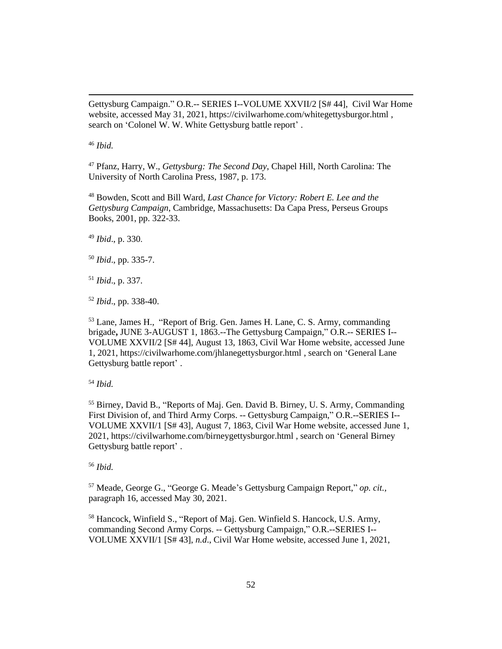Gettysburg Campaign." O.R.-- SERIES I--VOLUME XXVII/2 [S# 44], Civil War Home website, accessed May 31, 2021, https://civilwarhome.com/whitegettysburgor.html , search on 'Colonel W. W. White Gettysburg battle report' .

<sup>46</sup> *Ibid.*

<sup>47</sup> Pfanz, Harry, W., *Gettysburg: The Second Day*, Chapel Hill, North Carolina: The University of North Carolina Press, 1987, p. 173.

<sup>48</sup> Bowden, Scott and Bill Ward, *Last Chance for Victory: Robert E. Lee and the Gettysburg Campaign*, Cambridge, Massachusetts: Da Capa Press, Perseus Groups Books, 2001, pp. 322-33.

<sup>49</sup> *Ibid*., p. 330.

<sup>50</sup> *Ibid*., pp. 335-7.

<sup>51</sup> *Ibid*., p. 337.

<sup>52</sup> *Ibid*., pp. 338-40.

<sup>53</sup> Lane, James H., "Report of Brig. Gen. James H. Lane, C. S. Army, commanding brigade**,** JUNE 3-AUGUST 1, 1863.--The Gettysburg Campaign," O.R.-- SERIES I-- VOLUME XXVII/2 [S# 44], August 13, 1863, Civil War Home website, accessed June 1, 2021, https://civilwarhome.com/jhlanegettysburgor.html , search on 'General Lane Gettysburg battle report' .

<sup>54</sup> *Ibid.*

<sup>55</sup> Birney, David B., "Reports of Maj. Gen. David B. Birney, U. S. Army, Commanding First Division of, and Third Army Corps. -- Gettysburg Campaign," O.R.--SERIES I-- VOLUME XXVII/1 [S# 43], August 7, 1863, Civil War Home website, accessed June 1, 2021, https://civilwarhome.com/birneygettysburgor.html , search on 'General Birney Gettysburg battle report' .

<sup>56</sup> *Ibid.*

<sup>57</sup> Meade, George G., "George G. Meade's Gettysburg Campaign Report," *op. cit.,* paragraph 16, accessed May 30, 2021.

<sup>58</sup> Hancock, Winfield S., "Report of Maj. Gen. Winfield S. Hancock, U.S. Army, commanding Second Army Corps. -- Gettysburg Campaign," O.R.--SERIES I-- VOLUME XXVII/1 [S# 43], *n.d*., Civil War Home website, accessed June 1, 2021,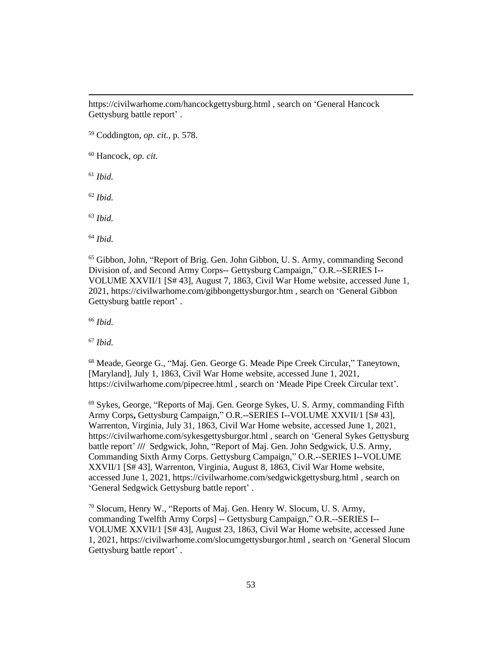https://civilwarhome.com/hancockgettysburg.html , search on 'General Hancock Gettysburg battle report' .

<sup>59</sup> Coddington, *op. cit.,* p. 578.

<sup>60</sup> Hancock, *op. cit.*

<sup>61</sup> *Ibid.*

<sup>62</sup> *Ibid.*

<sup>63</sup> *Ibid.*

<sup>64</sup> *Ibid.*

<sup>65</sup> Gibbon, John, "Report of Brig. Gen. John Gibbon, U. S. Army, commanding Second Division of, and Second Army Corps-- Gettysburg Campaign," O.R.--SERIES I-- VOLUME XXVII/1 [S# 43], August 7, 1863, Civil War Home website, accessed June 1, 2021, https://civilwarhome.com/gibbongettysburgor.htm , search on 'General Gibbon Gettysburg battle report' .

<sup>66</sup> *Ibid.*

<sup>67</sup> *Ibid.*

<sup>68</sup> Meade, George G., "Maj. Gen. George G. Meade Pipe Creek Circular," Taneytown, [Maryland], July 1, 1863, Civil War Home website, accessed June 1, 2021, https://civilwarhome.com/pipecree.html , search on 'Meade Pipe Creek Circular text'.

<sup>69</sup> Sykes, George, "Reports of Maj. Gen. George Sykes, U. S. Army, commanding Fifth Army Corps**,** Gettysburg Campaign," O.R.--SERIES I--VOLUME XXVII/1 [S# 43], Warrenton, Virginia, July 31, 1863, Civil War Home website, accessed June 1, 2021, https://civilwarhome.com/sykesgettysburgor.html , search on 'General Sykes Gettysburg battle report' **///** Sedgwick, John, "Report of Maj. Gen. John Sedgwick, U.S. Army, Commanding Sixth Army Corps. Gettysburg Campaign," O.R.--SERIES I--VOLUME XXVII/1 [S# 43], Warrenton, Virginia, August 8, 1863, Civil War Home website, accessed June 1, 2021, https://civilwarhome.com/sedgwickgettysburg.html , search on 'General Sedgwick Gettysburg battle report' .

<sup>70</sup> Slocum, Henry W., "Reports of Maj. Gen. Henry W. Slocum, U. S. Army, commanding Twelfth Army Corps] -- Gettysburg Campaign," O.R.--SERIES I-- VOLUME XXVII/1 [S# 43], August 23, 1863, Civil War Home website, accessed June 1, 2021, https://civilwarhome.com/slocumgettysburgor.html , search on 'General Slocum Gettysburg battle report' .